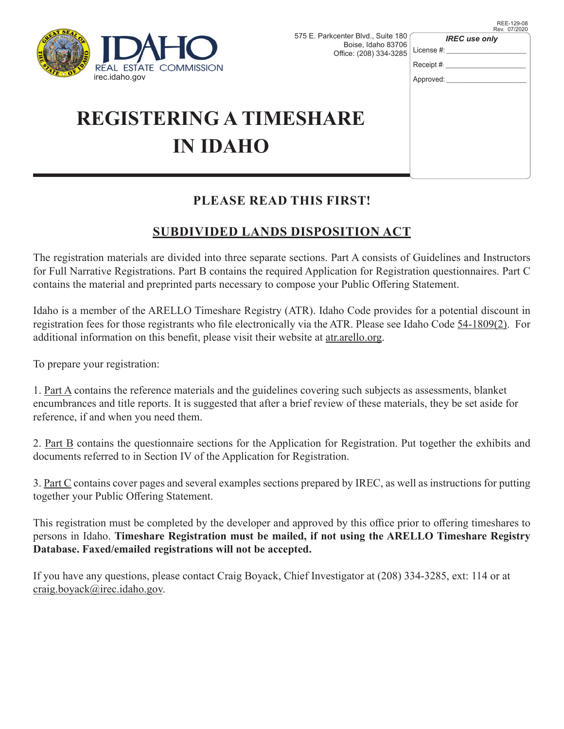

| ırkcenter Blvd., Suite 180<br>Boise, Idaho 83706<br>Office: (208) 334-3285 | <b>IREC</b> use only<br>License $#$ :<br>Receipt $#$ : |
|----------------------------------------------------------------------------|--------------------------------------------------------|
|                                                                            | Approved:                                              |
| ARE                                                                        |                                                        |

# **REGISTERING A TIMESHA IN IDAHO**

## **PLEASE READ THIS FIRST!**

# **SUBDIVIDED LANDS DISPOSITION ACT**

The registration materials are divided into three separate sections. Part A consists of Guidelines and Instructors for Full Narrative Registrations. Part B contains the required Application for Registration questionnaires. Part C contains the material and preprinted parts necessary to compose your Public Offering Statement.

Idaho is a member of the ARELLO Timeshare Registry (ATR). Idaho Code provides for a potential discount in registration fees for those registrants who file electronically via the ATR. Please see Idaho Code 54-1809(2). For additional information on this benefit, please visit their website at atr.arello.org.

To prepare your registration:

1. Part A contains the reference materials and the guidelines covering such subjects as assessments, blanket encumbrances and title reports. It is suggested that after a brief review of these materials, they be set aside for reference, if and when you need them.

2. Part B contains the questionnaire sections for the Application for Registration. Put together the exhibits and documents referred to in Section IV of the Application for Registration.

3. Part C contains cover pages and several examples sections prepared by IREC, as well as instructions for putting together your Public Offering Statement.

This registration must be completed by the developer and approved by this office prior to offering timeshares to persons in Idaho. **Timeshare Registration must be mailed, if not using the ARELLO Timeshare Registry Database. Faxed/emailed registrations will not be accepted.**

If you have any questions, please contact Craig Boyack, Chief Investigator at (208) 334-3285, ext: 114 or at craig.boyack@irec.idaho.gov.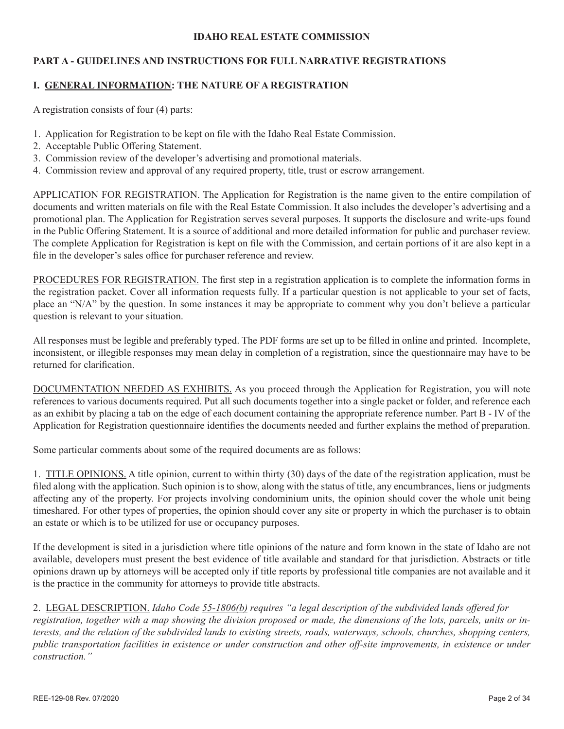#### **IDAHO REAL ESTATE COMMISSION**

## **PART A - GUIDELINES AND INSTRUCTIONS FOR FULL NARRATIVE REGISTRATIONS**

## **I. GENERAL INFORMATION: THE NATURE OF A REGISTRATION**

A registration consists of four (4) parts:

- 1. Application for Registration to be kept on file with the Idaho Real Estate Commission.
- 2. Acceptable Public Offering Statement.
- 3. Commission review of the developer's advertising and promotional materials.
- 4. Commission review and approval of any required property, title, trust or escrow arrangement.

APPLICATION FOR REGISTRATION. The Application for Registration is the name given to the entire compilation of documents and written materials on file with the Real Estate Commission. It also includes the developer's advertising and a promotional plan. The Application for Registration serves several purposes. It supports the disclosure and write-ups found in the Public Offering Statement. It is a source of additional and more detailed information for public and purchaser review. The complete Application for Registration is kept on file with the Commission, and certain portions of it are also kept in a file in the developer's sales office for purchaser reference and review.

PROCEDURES FOR REGISTRATION. The first step in a registration application is to complete the information forms in the registration packet. Cover all information requests fully. If a particular question is not applicable to your set of facts, place an "N/A" by the question. In some instances it may be appropriate to comment why you don't believe a particular question is relevant to your situation.

All responses must be legible and preferably typed. The PDF forms are set up to be filled in online and printed. Incomplete, inconsistent, or illegible responses may mean delay in completion of a registration, since the questionnaire may have to be returned for clarification.

DOCUMENTATION NEEDED AS EXHIBITS. As you proceed through the Application for Registration, you will note references to various documents required. Put all such documents together into a single packet or folder, and reference each as an exhibit by placing a tab on the edge of each document containing the appropriate reference number. Part B - IV of the Application for Registration questionnaire identifies the documents needed and further explains the method of preparation.

Some particular comments about some of the required documents are as follows:

1. TITLE OPINIONS. A title opinion, current to within thirty (30) days of the date of the registration application, must be filed along with the application. Such opinion is to show, along with the status of title, any encumbrances, liens or judgments affecting any of the property. For projects involving condominium units, the opinion should cover the whole unit being timeshared. For other types of properties, the opinion should cover any site or property in which the purchaser is to obtain an estate or which is to be utilized for use or occupancy purposes.

If the development is sited in a jurisdiction where title opinions of the nature and form known in the state of Idaho are not available, developers must present the best evidence of title available and standard for that jurisdiction. Abstracts or title opinions drawn up by attorneys will be accepted only if title reports by professional title companies are not available and it is the practice in the community for attorneys to provide title abstracts.

2. LEGAL DESCRIPTION. *Idaho Code 55-1806(b) requires "a legal description of the subdivided lands offered for registration, together with a map showing the division proposed or made, the dimensions of the lots, parcels, units or interests, and the relation of the subdivided lands to existing streets, roads, waterways, schools, churches, shopping centers, public transportation facilities in existence or under construction and other off-site improvements, in existence or under construction."*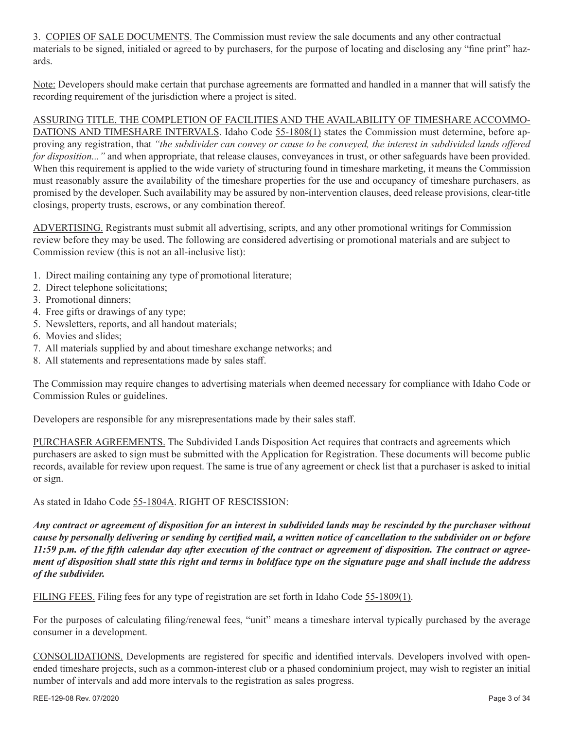3. COPIES OF SALE DOCUMENTS. The Commission must review the sale documents and any other contractual materials to be signed, initialed or agreed to by purchasers, for the purpose of locating and disclosing any "fine print" hazards.

Note: Developers should make certain that purchase agreements are formatted and handled in a manner that will satisfy the recording requirement of the jurisdiction where a project is sited.

## ASSURING TITLE, THE COMPLETION OF FACILITIES AND THE AVAILABILITY OF TIMESHARE ACCOMMO-

DATIONS AND TIMESHARE INTERVALS. Idaho Code 55-1808(1) states the Commission must determine, before approving any registration, that *"the subdivider can convey or cause to be conveyed, the interest in subdivided lands offered for disposition..."* and when appropriate, that release clauses, conveyances in trust, or other safeguards have been provided. When this requirement is applied to the wide variety of structuring found in timeshare marketing, it means the Commission must reasonably assure the availability of the timeshare properties for the use and occupancy of timeshare purchasers, as promised by the developer. Such availability may be assured by non-intervention clauses, deed release provisions, clear-title closings, property trusts, escrows, or any combination thereof.

ADVERTISING. Registrants must submit all advertising, scripts, and any other promotional writings for Commission review before they may be used. The following are considered advertising or promotional materials and are subject to Commission review (this is not an all-inclusive list):

- 1. Direct mailing containing any type of promotional literature;
- 2. Direct telephone solicitations;
- 3. Promotional dinners;
- 4. Free gifts or drawings of any type;
- 5. Newsletters, reports, and all handout materials;
- 6. Movies and slides;
- 7. All materials supplied by and about timeshare exchange networks; and
- 8. All statements and representations made by sales staff.

The Commission may require changes to advertising materials when deemed necessary for compliance with Idaho Code or Commission Rules or guidelines.

Developers are responsible for any misrepresentations made by their sales staff.

PURCHASER AGREEMENTS. The Subdivided Lands Disposition Act requires that contracts and agreements which purchasers are asked to sign must be submitted with the Application for Registration. These documents will become public records, available for review upon request. The same is true of any agreement or check list that a purchaser is asked to initial or sign.

As stated in Idaho Code 55-1804A. RIGHT OF RESCISSION:

*Any contract or agreement of disposition for an interest in subdivided lands may be rescinded by the purchaser without cause by personally delivering or sending by certified mail, a written notice of cancellation to the subdivider on or before 11:59 p.m. of the fifth calendar day after execution of the contract or agreement of disposition. The contract or agreement of disposition shall state this right and terms in boldface type on the signature page and shall include the address of the subdivider.*

FILING FEES. Filing fees for any type of registration are set forth in Idaho Code 55-1809(1).

For the purposes of calculating filing/renewal fees, "unit" means a timeshare interval typically purchased by the average consumer in a development.

CONSOLIDATIONS. Developments are registered for specific and identified intervals. Developers involved with openended timeshare projects, such as a common-interest club or a phased condominium project, may wish to register an initial number of intervals and add more intervals to the registration as sales progress.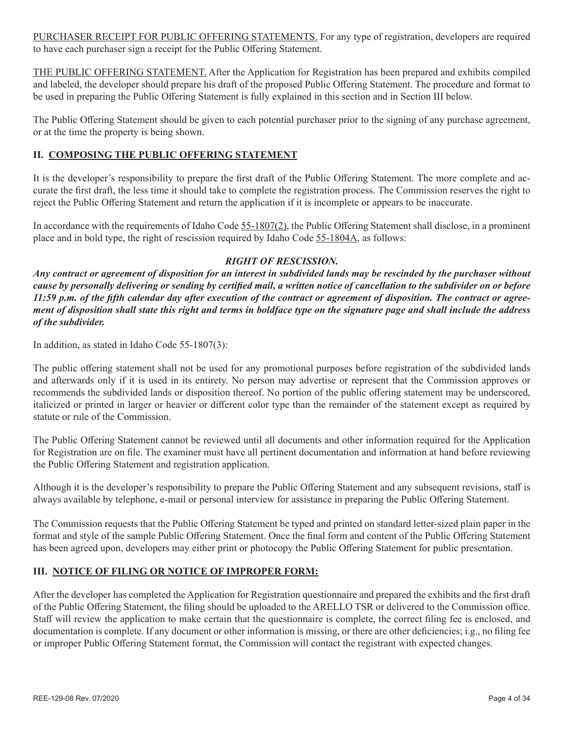PURCHASER RECEIPT FOR PUBLIC OFFERING STATEMENTS. For any type of registration, developers are required to have each purchaser sign a receipt for the Public Offering Statement.

THE PUBLIC OFFERING STATEMENT. After the Application for Registration has been prepared and exhibits compiled and labeled, the developer should prepare his draft of the proposed Public Offering Statement. The procedure and format to be used in preparing the Public Offering Statement is fully explained in this section and in Section III below.

The Public Offering Statement should be given to each potential purchaser prior to the signing of any purchase agreement, or at the time the property is being shown.

## **II. COMPOSING THE PUBLIC OFFERING STATEMENT**

It is the developer's responsibility to prepare the first draft of the Public Offering Statement. The more complete and accurate the first draft, the less time it should take to complete the registration process. The Commission reserves the right to reject the Public Offering Statement and return the application if it is incomplete or appears to be inaccurate.

In accordance with the requirements of Idaho Code 55-1807(2), the Public Offering Statement shall disclose, in a prominent place and in bold type, the right of rescission required by Idaho Code 55-1804A, as follows:

## *RIGHT OF RESCISSION.*

*Any contract or agreement of disposition for an interest in subdivided lands may be rescinded by the purchaser without cause by personally delivering or sending by certified mail, a written notice of cancellation to the subdivider on or before 11:59 p.m. of the fifth calendar day after execution of the contract or agreement of disposition. The contract or agreement of disposition shall state this right and terms in boldface type on the signature page and shall include the address of the subdivider.*

In addition, as stated in Idaho Code 55-1807(3):

The public offering statement shall not be used for any promotional purposes before registration of the subdivided lands and afterwards only if it is used in its entirety. No person may advertise or represent that the Commission approves or recommends the subdivided lands or disposition thereof. No portion of the public offering statement may be underscored, italicized or printed in larger or heavier or different color type than the remainder of the statement except as required by statute or rule of the Commission.

The Public Offering Statement cannot be reviewed until all documents and other information required for the Application for Registration are on file. The examiner must have all pertinent documentation and information at hand before reviewing the Public Offering Statement and registration application.

Although it is the developer's responsibility to prepare the Public Offering Statement and any subsequent revisions, staff is always available by telephone, e-mail or personal interview for assistance in preparing the Public Offering Statement.

The Commission requests that the Public Offering Statement be typed and printed on standard letter-sized plain paper in the format and style of the sample Public Offering Statement. Once the final form and content of the Public Offering Statement has been agreed upon, developers may either print or photocopy the Public Offering Statement for public presentation.

## **III. NOTICE OF FILING OR NOTICE OF IMPROPER FORM:**

After the developer has completed the Application for Registration questionnaire and prepared the exhibits and the first draft of the Public Offering Statement, the filing should be uploaded to the ARELLO TSR or delivered to the Commission office. Staff will review the application to make certain that the questionnaire is complete, the correct filing fee is enclosed, and documentation is complete. If any document or other information is missing, or there are other deficiencies; i.g., no filing fee or improper Public Offering Statement format, the Commission will contact the registrant with expected changes.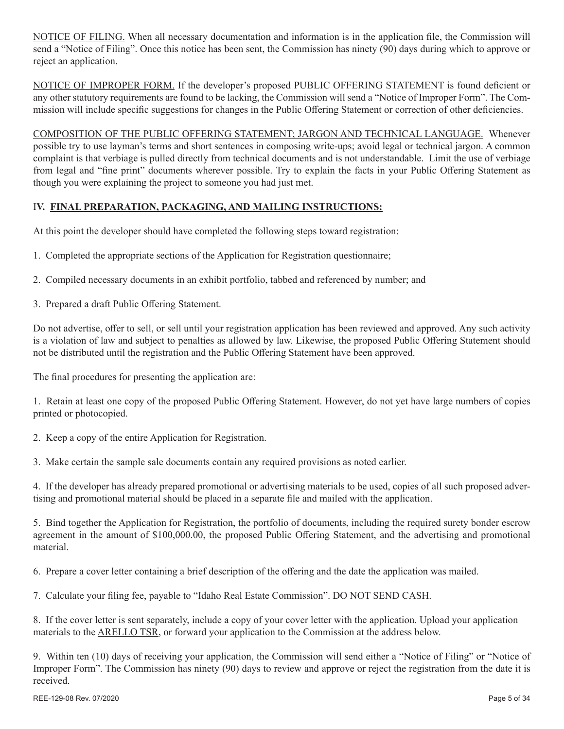NOTICE OF FILING. When all necessary documentation and information is in the application file, the Commission will send a "Notice of Filing". Once this notice has been sent, the Commission has ninety (90) days during which to approve or reject an application.

NOTICE OF IMPROPER FORM. If the developer's proposed PUBLIC OFFERING STATEMENT is found deficient or any other statutory requirements are found to be lacking, the Commission will send a "Notice of Improper Form". The Commission will include specific suggestions for changes in the Public Offering Statement or correction of other deficiencies.

COMPOSITION OF THE PUBLIC OFFERING STATEMENT; JARGON AND TECHNICAL LANGUAGE. Whenever possible try to use layman's terms and short sentences in composing write-ups; avoid legal or technical jargon. A common complaint is that verbiage is pulled directly from technical documents and is not understandable. Limit the use of verbiage from legal and "fine print" documents wherever possible. Try to explain the facts in your Public Offering Statement as though you were explaining the project to someone you had just met.

## I**V. FINAL PREPARATION, PACKAGING, AND MAILING INSTRUCTIONS:**

At this point the developer should have completed the following steps toward registration:

- 1. Completed the appropriate sections of the Application for Registration questionnaire;
- 2. Compiled necessary documents in an exhibit portfolio, tabbed and referenced by number; and
- 3. Prepared a draft Public Offering Statement.

Do not advertise, offer to sell, or sell until your registration application has been reviewed and approved. Any such activity is a violation of law and subject to penalties as allowed by law. Likewise, the proposed Public Offering Statement should not be distributed until the registration and the Public Offering Statement have been approved.

The final procedures for presenting the application are:

1. Retain at least one copy of the proposed Public Offering Statement. However, do not yet have large numbers of copies printed or photocopied.

2. Keep a copy of the entire Application for Registration.

3. Make certain the sample sale documents contain any required provisions as noted earlier.

4. If the developer has already prepared promotional or advertising materials to be used, copies of all such proposed advertising and promotional material should be placed in a separate file and mailed with the application.

5. Bind together the Application for Registration, the portfolio of documents, including the required surety bonder escrow agreement in the amount of \$100,000.00, the proposed Public Offering Statement, and the advertising and promotional material.

6. Prepare a cover letter containing a brief description of the offering and the date the application was mailed.

7. Calculate your filing fee, payable to "Idaho Real Estate Commission". DO NOT SEND CASH.

8. If the cover letter is sent separately, include a copy of your cover letter with the application. Upload your application materials to the ARELLO TSR, or forward your application to the Commission at the address below.

9. Within ten (10) days of receiving your application, the Commission will send either a "Notice of Filing" or "Notice of Improper Form". The Commission has ninety (90) days to review and approve or reject the registration from the date it is received.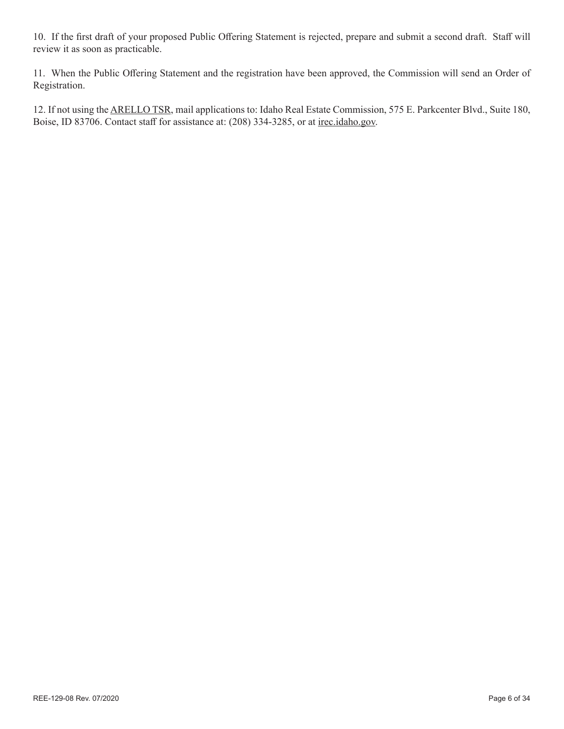10. If the first draft of your proposed Public Offering Statement is rejected, prepare and submit a second draft. Staff will review it as soon as practicable.

11. When the Public Offering Statement and the registration have been approved, the Commission will send an Order of Registration.

12. If not using the ARELLO TSR, mail applications to: Idaho Real Estate Commission, 575 E. Parkcenter Blvd., Suite 180, Boise, ID 83706. Contact staff for assistance at: (208) 334-3285, or at irec.idaho.gov.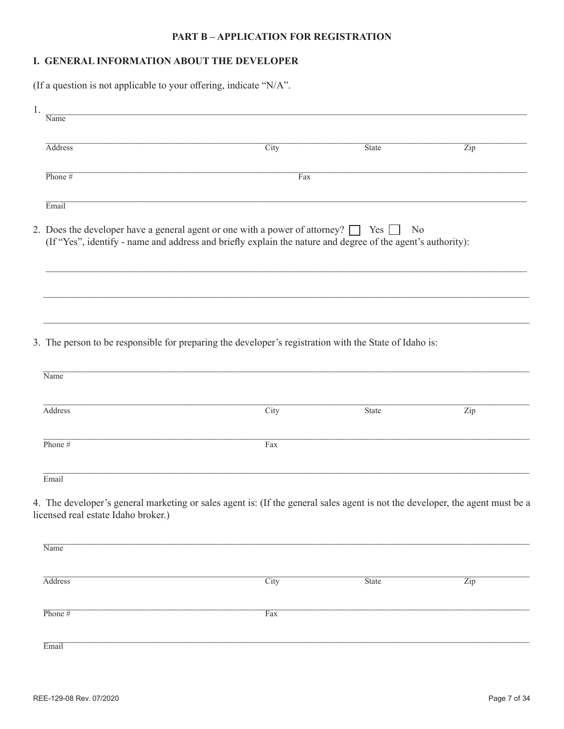## **PART B-APPLICATION FOR REGISTRATION**

## I. GENERAL INFORMATION ABOUT THE DEVELOPER

(If a question is not applicable to your offering, indicate "N/A".

| Name      |      |                                     |                                                                                                                                                                                                                                                                                                                                                                                                                                                         |
|-----------|------|-------------------------------------|---------------------------------------------------------------------------------------------------------------------------------------------------------------------------------------------------------------------------------------------------------------------------------------------------------------------------------------------------------------------------------------------------------------------------------------------------------|
| Address   | City | <b>State</b>                        | Zip                                                                                                                                                                                                                                                                                                                                                                                                                                                     |
| Phone $#$ | Fax  |                                     |                                                                                                                                                                                                                                                                                                                                                                                                                                                         |
| Email     |      |                                     |                                                                                                                                                                                                                                                                                                                                                                                                                                                         |
|           |      | No                                  |                                                                                                                                                                                                                                                                                                                                                                                                                                                         |
|           |      |                                     |                                                                                                                                                                                                                                                                                                                                                                                                                                                         |
|           |      |                                     |                                                                                                                                                                                                                                                                                                                                                                                                                                                         |
| Name      |      |                                     |                                                                                                                                                                                                                                                                                                                                                                                                                                                         |
| Address   | City | State                               | Zip                                                                                                                                                                                                                                                                                                                                                                                                                                                     |
| Phone #   | Fax  |                                     |                                                                                                                                                                                                                                                                                                                                                                                                                                                         |
| Email     |      |                                     |                                                                                                                                                                                                                                                                                                                                                                                                                                                         |
|           |      |                                     |                                                                                                                                                                                                                                                                                                                                                                                                                                                         |
| Name      |      |                                     |                                                                                                                                                                                                                                                                                                                                                                                                                                                         |
| Address   | City | <b>State</b>                        | Zip                                                                                                                                                                                                                                                                                                                                                                                                                                                     |
| Phone #   | Fax  |                                     |                                                                                                                                                                                                                                                                                                                                                                                                                                                         |
| Email     |      |                                     |                                                                                                                                                                                                                                                                                                                                                                                                                                                         |
|           |      | licensed real estate Idaho broker.) | 2. Does the developer have a general agent or one with a power of attorney? $\Box$ Yes $\Box$<br>(If "Yes", identify - name and address and briefly explain the nature and degree of the agent's authority):<br>3. The person to be responsible for preparing the developer's registration with the State of Idaho is:<br>4. The developer's general marketing or sales agent is: (If the general sales agent is not the developer, the agent must be a |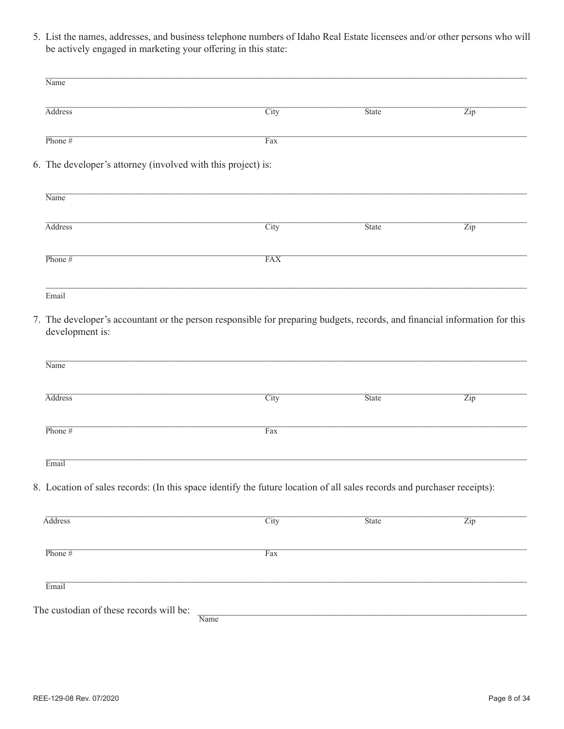5. List the names, addresses, and business telephone numbers of Idaho Real Estate licensees and/or other persons who will be actively engaged in marketing your offering in this state:

| Name                                                                                                                                          |            |              |                           |
|-----------------------------------------------------------------------------------------------------------------------------------------------|------------|--------------|---------------------------|
| <b>Address</b>                                                                                                                                | City       | State        | $\overline{\mathrm{Zip}}$ |
| Phone $#$                                                                                                                                     | Fax        |              |                           |
| 6. The developer's attorney (involved with this project) is:                                                                                  |            |              |                           |
| Name                                                                                                                                          |            |              |                           |
| <b>Address</b>                                                                                                                                | City       | <b>State</b> | $\overline{\mathrm{Zip}}$ |
| Phone $#$                                                                                                                                     | <b>FAX</b> |              |                           |
| Email                                                                                                                                         |            |              |                           |
| 7. The developer's accountant or the person responsible for preparing budgets, records, and financial information for this<br>development is: |            |              |                           |

| Name           |             |              |     |
|----------------|-------------|--------------|-----|
| <b>Address</b> | <b>City</b> | <b>State</b> | Zip |
| Phone $#$      | Fax         |              |     |
| Email          |             |              |     |

8. Location of sales records: (In this space identify the future location of all sales records and purchaser receipts):

| <b>Address</b>                          | City | <b>State</b> | $\overline{Zip}$ |
|-----------------------------------------|------|--------------|------------------|
|                                         |      |              |                  |
|                                         |      |              |                  |
| Phone $#$                               | Fax  |              |                  |
|                                         |      |              |                  |
| Email                                   |      |              |                  |
|                                         |      |              |                  |
| The custodian of these records will be: |      |              |                  |
|                                         | Name |              |                  |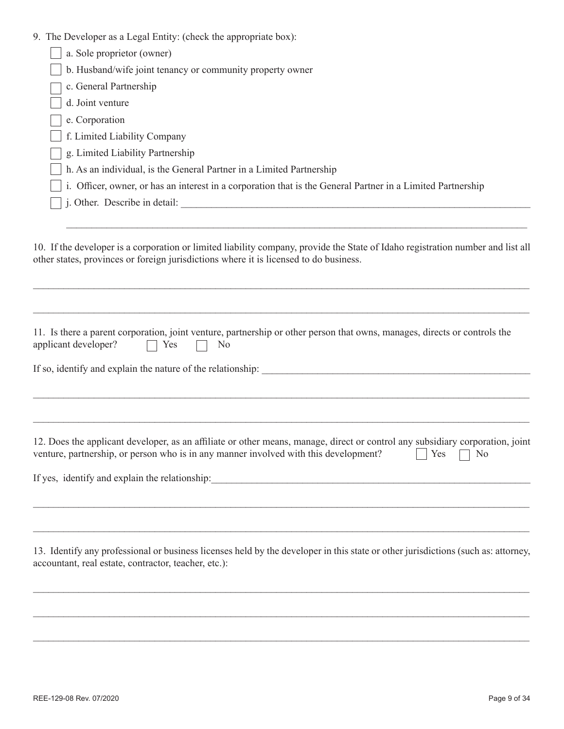|  |  |  |  | 9. The Developer as a Legal Entity: (check the appropriate box): |  |
|--|--|--|--|------------------------------------------------------------------|--|
|--|--|--|--|------------------------------------------------------------------|--|

| b. Husband/wife joint tenancy or community property owner<br>c. General Partnership<br>d. Joint venture<br>e. Corporation<br>f. Limited Liability Company<br>g. Limited Liability Partnership<br>h. As an individual, is the General Partner in a Limited Partnership | a. Sole proprietor (owner)                                                                                  |
|-----------------------------------------------------------------------------------------------------------------------------------------------------------------------------------------------------------------------------------------------------------------------|-------------------------------------------------------------------------------------------------------------|
|                                                                                                                                                                                                                                                                       |                                                                                                             |
|                                                                                                                                                                                                                                                                       |                                                                                                             |
|                                                                                                                                                                                                                                                                       |                                                                                                             |
|                                                                                                                                                                                                                                                                       |                                                                                                             |
|                                                                                                                                                                                                                                                                       |                                                                                                             |
|                                                                                                                                                                                                                                                                       |                                                                                                             |
|                                                                                                                                                                                                                                                                       |                                                                                                             |
|                                                                                                                                                                                                                                                                       | i. Officer, owner, or has an interest in a corporation that is the General Partner in a Limited Partnership |
| j. Other. Describe in detail:                                                                                                                                                                                                                                         |                                                                                                             |

10. If the developer is a corporation or limited liability company, provide the State of Idaho registration number and list all other states, provinces or foreign jurisdictions where it is licensed to do business.

 $\_$  , and the set of the set of the set of the set of the set of the set of the set of the set of the set of the set of the set of the set of the set of the set of the set of the set of the set of the set of the set of th

 $\mathcal{L}_\mathcal{L} = \mathcal{L}_\mathcal{L} = \mathcal{L}_\mathcal{L} = \mathcal{L}_\mathcal{L} = \mathcal{L}_\mathcal{L} = \mathcal{L}_\mathcal{L} = \mathcal{L}_\mathcal{L} = \mathcal{L}_\mathcal{L} = \mathcal{L}_\mathcal{L} = \mathcal{L}_\mathcal{L} = \mathcal{L}_\mathcal{L} = \mathcal{L}_\mathcal{L} = \mathcal{L}_\mathcal{L} = \mathcal{L}_\mathcal{L} = \mathcal{L}_\mathcal{L} = \mathcal{L}_\mathcal{L} = \mathcal{L}_\mathcal{L}$ 

11. Is there a parent corporation, joint venture, partnership or other person that owns, manages, directs or controls the

 $\_$  ,  $\_$  ,  $\_$  ,  $\_$  ,  $\_$  ,  $\_$  ,  $\_$  ,  $\_$  ,  $\_$  ,  $\_$  ,  $\_$  ,  $\_$  ,  $\_$  ,  $\_$  ,  $\_$  ,  $\_$  ,  $\_$  ,  $\_$  ,  $\_$  ,  $\_$  ,  $\_$  ,  $\_$  ,  $\_$  ,  $\_$  ,  $\_$  ,  $\_$  ,  $\_$  ,  $\_$  ,  $\_$  ,  $\_$  ,  $\_$  ,  $\_$  ,  $\_$  ,  $\_$  ,  $\_$  ,  $\_$  ,  $\_$  ,

| If so, identify and explain the nature of the relationship:                                                                   |  |  |  |
|-------------------------------------------------------------------------------------------------------------------------------|--|--|--|
|                                                                                                                               |  |  |  |
| 12. Does the applicant developer, as an affiliate or other means, manage, direct or control any subsidiary corporation, joint |  |  |  |

|  | 12. Does the applicant developer, as an annual of other means, manage, aneet of control any substantly corporation, join |                      |  |
|--|--------------------------------------------------------------------------------------------------------------------------|----------------------|--|
|  | venture, partnership, or person who is in any manner involved with this development?                                     | $\Box$ Yes $\Box$ No |  |

If yes, identify and explain the relationship:

applicant developer?  $\Box$  Yes  $\Box$  No

13. Identify any professional or business licenses held by the developer in this state or other jurisdictions (such as: attorney, accountant, real estate, contractor, teacher, etc.):

 $\_$  , and the set of the set of the set of the set of the set of the set of the set of the set of the set of the set of the set of the set of the set of the set of the set of the set of the set of the set of the set of th

 $\mathcal{L}_\mathcal{L} = \mathcal{L}_\mathcal{L} = \mathcal{L}_\mathcal{L} = \mathcal{L}_\mathcal{L} = \mathcal{L}_\mathcal{L} = \mathcal{L}_\mathcal{L} = \mathcal{L}_\mathcal{L} = \mathcal{L}_\mathcal{L} = \mathcal{L}_\mathcal{L} = \mathcal{L}_\mathcal{L} = \mathcal{L}_\mathcal{L} = \mathcal{L}_\mathcal{L} = \mathcal{L}_\mathcal{L} = \mathcal{L}_\mathcal{L} = \mathcal{L}_\mathcal{L} = \mathcal{L}_\mathcal{L} = \mathcal{L}_\mathcal{L}$ 

 $\mathcal{L}_\mathcal{L} = \mathcal{L}_\mathcal{L} = \mathcal{L}_\mathcal{L} = \mathcal{L}_\mathcal{L} = \mathcal{L}_\mathcal{L} = \mathcal{L}_\mathcal{L} = \mathcal{L}_\mathcal{L} = \mathcal{L}_\mathcal{L} = \mathcal{L}_\mathcal{L} = \mathcal{L}_\mathcal{L} = \mathcal{L}_\mathcal{L} = \mathcal{L}_\mathcal{L} = \mathcal{L}_\mathcal{L} = \mathcal{L}_\mathcal{L} = \mathcal{L}_\mathcal{L} = \mathcal{L}_\mathcal{L} = \mathcal{L}_\mathcal{L}$ 

 $\mathcal{L}_\mathcal{L} = \mathcal{L}_\mathcal{L} = \mathcal{L}_\mathcal{L} = \mathcal{L}_\mathcal{L} = \mathcal{L}_\mathcal{L} = \mathcal{L}_\mathcal{L} = \mathcal{L}_\mathcal{L} = \mathcal{L}_\mathcal{L} = \mathcal{L}_\mathcal{L} = \mathcal{L}_\mathcal{L} = \mathcal{L}_\mathcal{L} = \mathcal{L}_\mathcal{L} = \mathcal{L}_\mathcal{L} = \mathcal{L}_\mathcal{L} = \mathcal{L}_\mathcal{L} = \mathcal{L}_\mathcal{L} = \mathcal{L}_\mathcal{L}$ 

 $\_$  , and the set of the set of the set of the set of the set of the set of the set of the set of the set of the set of the set of the set of the set of the set of the set of the set of the set of the set of the set of th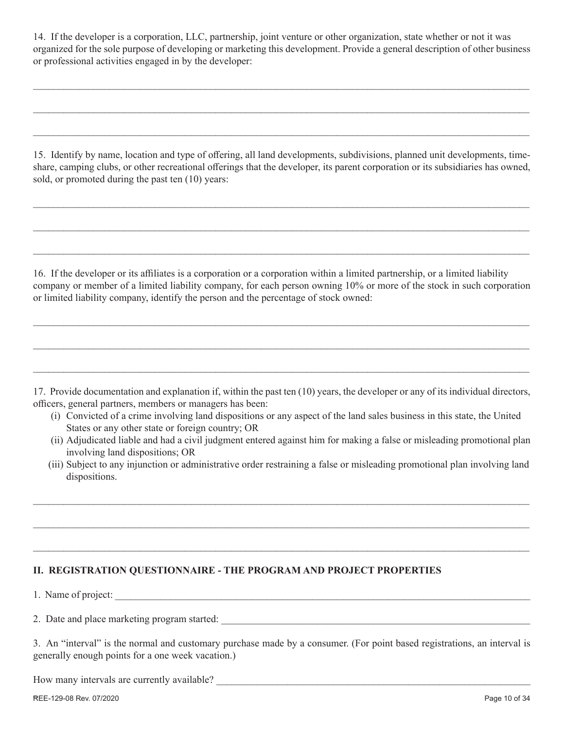14. If the developer is a corporation, LLC, partnership, joint venture or other organization, state whether or not it was organized for the sole purpose of developing or marketing this development. Provide a general description of other business or professional activities engaged in by the developer:

 $\mathcal{L}_\mathcal{L} = \mathcal{L}_\mathcal{L} = \mathcal{L}_\mathcal{L} = \mathcal{L}_\mathcal{L} = \mathcal{L}_\mathcal{L} = \mathcal{L}_\mathcal{L} = \mathcal{L}_\mathcal{L} = \mathcal{L}_\mathcal{L} = \mathcal{L}_\mathcal{L} = \mathcal{L}_\mathcal{L} = \mathcal{L}_\mathcal{L} = \mathcal{L}_\mathcal{L} = \mathcal{L}_\mathcal{L} = \mathcal{L}_\mathcal{L} = \mathcal{L}_\mathcal{L} = \mathcal{L}_\mathcal{L} = \mathcal{L}_\mathcal{L}$ 

 $\mathcal{L}_\mathcal{L} = \mathcal{L}_\mathcal{L} = \mathcal{L}_\mathcal{L} = \mathcal{L}_\mathcal{L} = \mathcal{L}_\mathcal{L} = \mathcal{L}_\mathcal{L} = \mathcal{L}_\mathcal{L} = \mathcal{L}_\mathcal{L} = \mathcal{L}_\mathcal{L} = \mathcal{L}_\mathcal{L} = \mathcal{L}_\mathcal{L} = \mathcal{L}_\mathcal{L} = \mathcal{L}_\mathcal{L} = \mathcal{L}_\mathcal{L} = \mathcal{L}_\mathcal{L} = \mathcal{L}_\mathcal{L} = \mathcal{L}_\mathcal{L}$ 

 $\_$  , and the set of the set of the set of the set of the set of the set of the set of the set of the set of the set of the set of the set of the set of the set of the set of the set of the set of the set of the set of th

15. Identify by name, location and type of offering, all land developments, subdivisions, planned unit developments, timeshare, camping clubs, or other recreational offerings that the developer, its parent corporation or its subsidiaries has owned, sold, or promoted during the past ten (10) years:

 $\_$  , and the set of the set of the set of the set of the set of the set of the set of the set of the set of the set of the set of the set of the set of the set of the set of the set of the set of the set of the set of th

 $\mathcal{L}_\mathcal{L} = \mathcal{L}_\mathcal{L} = \mathcal{L}_\mathcal{L} = \mathcal{L}_\mathcal{L} = \mathcal{L}_\mathcal{L} = \mathcal{L}_\mathcal{L} = \mathcal{L}_\mathcal{L} = \mathcal{L}_\mathcal{L} = \mathcal{L}_\mathcal{L} = \mathcal{L}_\mathcal{L} = \mathcal{L}_\mathcal{L} = \mathcal{L}_\mathcal{L} = \mathcal{L}_\mathcal{L} = \mathcal{L}_\mathcal{L} = \mathcal{L}_\mathcal{L} = \mathcal{L}_\mathcal{L} = \mathcal{L}_\mathcal{L}$ 

 $\mathcal{L}_\mathcal{L} = \mathcal{L}_\mathcal{L} = \mathcal{L}_\mathcal{L} = \mathcal{L}_\mathcal{L} = \mathcal{L}_\mathcal{L} = \mathcal{L}_\mathcal{L} = \mathcal{L}_\mathcal{L} = \mathcal{L}_\mathcal{L} = \mathcal{L}_\mathcal{L} = \mathcal{L}_\mathcal{L} = \mathcal{L}_\mathcal{L} = \mathcal{L}_\mathcal{L} = \mathcal{L}_\mathcal{L} = \mathcal{L}_\mathcal{L} = \mathcal{L}_\mathcal{L} = \mathcal{L}_\mathcal{L} = \mathcal{L}_\mathcal{L}$ 

16. If the developer or its affiliates is a corporation or a corporation within a limited partnership, or a limited liability company or member of a limited liability company, for each person owning 10% or more of the stock in such corporation or limited liability company, identify the person and the percentage of stock owned:

 $\mathcal{L}_\mathcal{L} = \mathcal{L}_\mathcal{L} = \mathcal{L}_\mathcal{L} = \mathcal{L}_\mathcal{L} = \mathcal{L}_\mathcal{L} = \mathcal{L}_\mathcal{L} = \mathcal{L}_\mathcal{L} = \mathcal{L}_\mathcal{L} = \mathcal{L}_\mathcal{L} = \mathcal{L}_\mathcal{L} = \mathcal{L}_\mathcal{L} = \mathcal{L}_\mathcal{L} = \mathcal{L}_\mathcal{L} = \mathcal{L}_\mathcal{L} = \mathcal{L}_\mathcal{L} = \mathcal{L}_\mathcal{L} = \mathcal{L}_\mathcal{L}$ 

 $\mathcal{L}_\mathcal{L} = \mathcal{L}_\mathcal{L} = \mathcal{L}_\mathcal{L} = \mathcal{L}_\mathcal{L} = \mathcal{L}_\mathcal{L} = \mathcal{L}_\mathcal{L} = \mathcal{L}_\mathcal{L} = \mathcal{L}_\mathcal{L} = \mathcal{L}_\mathcal{L} = \mathcal{L}_\mathcal{L} = \mathcal{L}_\mathcal{L} = \mathcal{L}_\mathcal{L} = \mathcal{L}_\mathcal{L} = \mathcal{L}_\mathcal{L} = \mathcal{L}_\mathcal{L} = \mathcal{L}_\mathcal{L} = \mathcal{L}_\mathcal{L}$ 

 $\mathcal{L}_\mathcal{L} = \mathcal{L}_\mathcal{L} = \mathcal{L}_\mathcal{L} = \mathcal{L}_\mathcal{L} = \mathcal{L}_\mathcal{L} = \mathcal{L}_\mathcal{L} = \mathcal{L}_\mathcal{L} = \mathcal{L}_\mathcal{L} = \mathcal{L}_\mathcal{L} = \mathcal{L}_\mathcal{L} = \mathcal{L}_\mathcal{L} = \mathcal{L}_\mathcal{L} = \mathcal{L}_\mathcal{L} = \mathcal{L}_\mathcal{L} = \mathcal{L}_\mathcal{L} = \mathcal{L}_\mathcal{L} = \mathcal{L}_\mathcal{L}$ 

17. Provide documentation and explanation if, within the past ten (10) years, the developer or any of its individual directors, officers, general partners, members or managers has been:

- (i) Convicted of a crime involving land dispositions or any aspect of the land sales business in this state, the United States or any other state or foreign country; OR
- (ii) Adjudicated liable and had a civil judgment entered against him for making a false or misleading promotional plan involving land dispositions; OR
- (iii) Subject to any injunction or administrative order restraining a false or misleading promotional plan involving land dispositions.

 $\mathcal{L}_\mathcal{L} = \mathcal{L}_\mathcal{L} = \mathcal{L}_\mathcal{L} = \mathcal{L}_\mathcal{L} = \mathcal{L}_\mathcal{L} = \mathcal{L}_\mathcal{L} = \mathcal{L}_\mathcal{L} = \mathcal{L}_\mathcal{L} = \mathcal{L}_\mathcal{L} = \mathcal{L}_\mathcal{L} = \mathcal{L}_\mathcal{L} = \mathcal{L}_\mathcal{L} = \mathcal{L}_\mathcal{L} = \mathcal{L}_\mathcal{L} = \mathcal{L}_\mathcal{L} = \mathcal{L}_\mathcal{L} = \mathcal{L}_\mathcal{L}$ 

 $\_$  , and the set of the set of the set of the set of the set of the set of the set of the set of the set of the set of the set of the set of the set of the set of the set of the set of the set of the set of the set of th

 $\mathcal{L}_\mathcal{L} = \mathcal{L}_\mathcal{L} = \mathcal{L}_\mathcal{L} = \mathcal{L}_\mathcal{L} = \mathcal{L}_\mathcal{L} = \mathcal{L}_\mathcal{L} = \mathcal{L}_\mathcal{L} = \mathcal{L}_\mathcal{L} = \mathcal{L}_\mathcal{L} = \mathcal{L}_\mathcal{L} = \mathcal{L}_\mathcal{L} = \mathcal{L}_\mathcal{L} = \mathcal{L}_\mathcal{L} = \mathcal{L}_\mathcal{L} = \mathcal{L}_\mathcal{L} = \mathcal{L}_\mathcal{L} = \mathcal{L}_\mathcal{L}$ 

## **II. REGISTRATION QUESTIONNAIRE - THE PROGRAM AND PROJECT PROPERTIES**

1. Name of project:

2. Date and place marketing program started:

3. An "interval" is the normal and customary purchase made by a consumer. (For point based registrations, an interval is generally enough points for a one week vacation.)

How many intervals are currently available?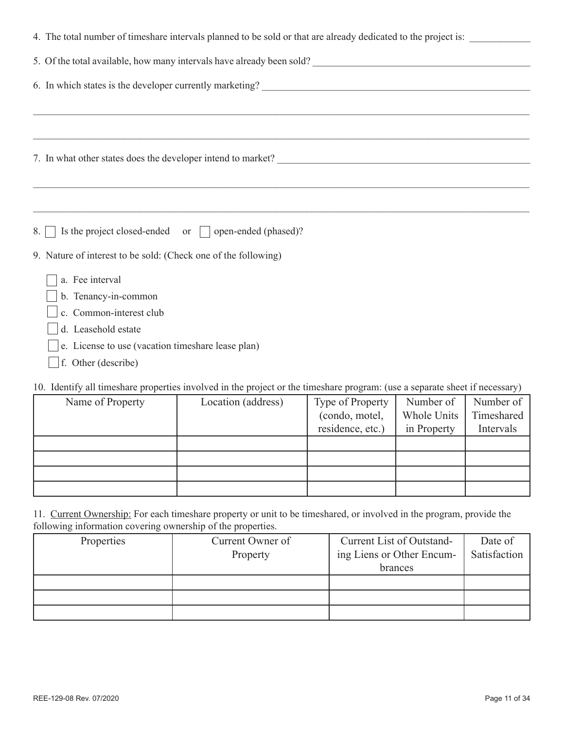|     | 4. The total number of timeshare intervals planned to be sold or that are already dedicated to the project is:                                                              |
|-----|-----------------------------------------------------------------------------------------------------------------------------------------------------------------------------|
|     | 5. Of the total available, how many intervals have already been sold?<br><u>Letting and the contract of the total</u> available, how many intervals have already been sold? |
|     | 6. In which states is the developer currently marketing?                                                                                                                    |
|     |                                                                                                                                                                             |
|     |                                                                                                                                                                             |
|     |                                                                                                                                                                             |
| 8.1 | Is the project closed-ended or $\Box$ open-ended (phased)?                                                                                                                  |
|     | 9. Nature of interest to be sold: (Check one of the following)                                                                                                              |
|     | a. Fee interval                                                                                                                                                             |
|     | b. Tenancy-in-common                                                                                                                                                        |
|     | c. Common-interest club                                                                                                                                                     |
|     | d. Leasehold estate                                                                                                                                                         |
|     | e. License to use (vacation timeshare lease plan)                                                                                                                           |
|     | $\vert$ f. Other (describe)                                                                                                                                                 |

10. Identify all timeshare properties involved in the project or the timeshare program: (use a separate sheet if necessary)

| Name of Property | Location (address) | Type of Property | Number of   | Number of  |
|------------------|--------------------|------------------|-------------|------------|
|                  |                    | (condo, motel,   | Whole Units | Timeshared |
|                  |                    | residence, etc.) | in Property | Intervals  |
|                  |                    |                  |             |            |
|                  |                    |                  |             |            |
|                  |                    |                  |             |            |
|                  |                    |                  |             |            |

11. Current Ownership: For each timeshare property or unit to be timeshared, or involved in the program, provide the following information covering ownership of the properties.

| Properties | Current Owner of<br>Property | Current List of Outstand-<br>ing Liens or Other Encum- | Date of<br>Satisfaction |
|------------|------------------------------|--------------------------------------------------------|-------------------------|
|            |                              | brances                                                |                         |
|            |                              |                                                        |                         |
|            |                              |                                                        |                         |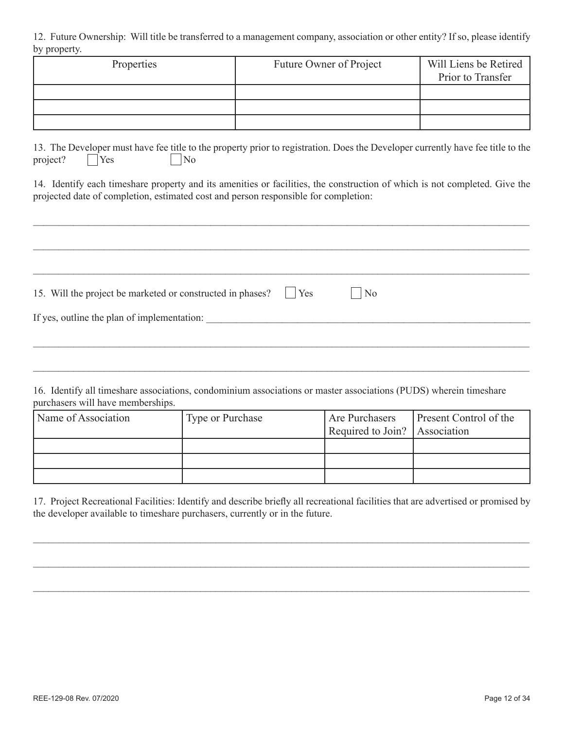12. Future Ownership: Will title be transferred to a management company, association or other entity? If so, please identify by property.

| Properties | Future Owner of Project | Will Liens be Retired<br>Prior to Transfer |
|------------|-------------------------|--------------------------------------------|
|            |                         |                                            |
|            |                         |                                            |
|            |                         |                                            |

13. The Developer must have fee title to the property prior to registration. Does the Developer currently have fee title to the project?  $\bigcap$  Yes  $\bigcap$  No

14. Identify each timeshare property and its amenities or facilities, the construction of which is not completed. Give the projected date of completion, estimated cost and person responsible for completion:

 $\_$ 

| 15. Will the project be marketed or constructed in phases? <u>Section</u> | $\overline{N_0}$ |  |
|---------------------------------------------------------------------------|------------------|--|
| If yes, outline the plan of implementation:                               |                  |  |
|                                                                           |                  |  |

16. Identify all timeshare associations, condominium associations or master associations (PUDS) wherein timeshare purchasers will have memberships.

| Name of Association | Type or Purchase | <b>Are Purchasers</b>         | <b>Present Control of the</b> |
|---------------------|------------------|-------------------------------|-------------------------------|
|                     |                  | Required to Join? Association |                               |
|                     |                  |                               |                               |
|                     |                  |                               |                               |
|                     |                  |                               |                               |

17. Project Recreational Facilities: Identify and describe briefly all recreational facilities that are advertised or promised by the developer available to timeshare purchasers, currently or in the future.

 $\_$  , and the set of the set of the set of the set of the set of the set of the set of the set of the set of the set of the set of the set of the set of the set of the set of the set of the set of the set of the set of th

 $\mathcal{L}_\mathcal{L} = \mathcal{L}_\mathcal{L} = \mathcal{L}_\mathcal{L} = \mathcal{L}_\mathcal{L} = \mathcal{L}_\mathcal{L} = \mathcal{L}_\mathcal{L} = \mathcal{L}_\mathcal{L} = \mathcal{L}_\mathcal{L} = \mathcal{L}_\mathcal{L} = \mathcal{L}_\mathcal{L} = \mathcal{L}_\mathcal{L} = \mathcal{L}_\mathcal{L} = \mathcal{L}_\mathcal{L} = \mathcal{L}_\mathcal{L} = \mathcal{L}_\mathcal{L} = \mathcal{L}_\mathcal{L} = \mathcal{L}_\mathcal{L}$ 

 $\mathcal{L}_\mathcal{L} = \mathcal{L}_\mathcal{L} = \mathcal{L}_\mathcal{L} = \mathcal{L}_\mathcal{L} = \mathcal{L}_\mathcal{L} = \mathcal{L}_\mathcal{L} = \mathcal{L}_\mathcal{L} = \mathcal{L}_\mathcal{L} = \mathcal{L}_\mathcal{L} = \mathcal{L}_\mathcal{L} = \mathcal{L}_\mathcal{L} = \mathcal{L}_\mathcal{L} = \mathcal{L}_\mathcal{L} = \mathcal{L}_\mathcal{L} = \mathcal{L}_\mathcal{L} = \mathcal{L}_\mathcal{L} = \mathcal{L}_\mathcal{L}$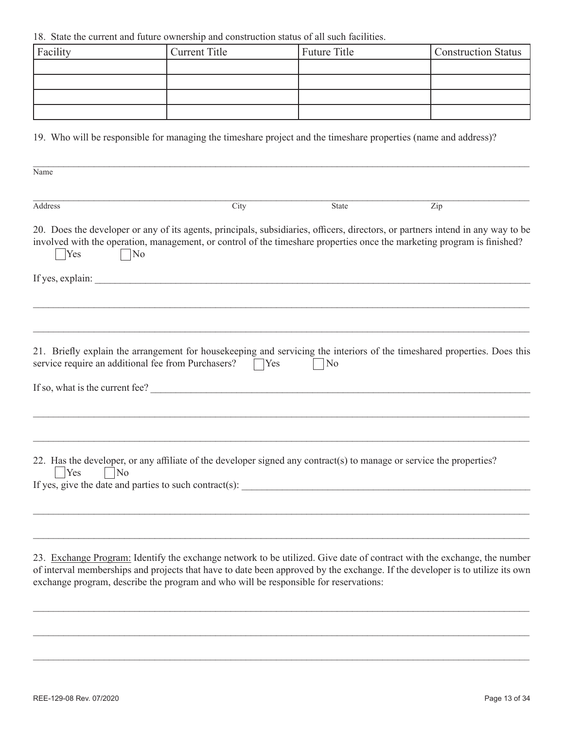18. State the current and future ownership and construction status of all such facilities.

| Facility | <b>Current Title</b> | Future Title | <b>Construction Status</b> |
|----------|----------------------|--------------|----------------------------|
|          |                      |              |                            |
|          |                      |              |                            |
|          |                      |              |                            |
|          |                      |              |                            |

19. Who will be responsible for managing the timeshare project and the timeshare properties (name and address)?

| City                                                       | <b>State</b>   | Zip                                                                                                                                                                                                                                                                                                                                                                                                                                                                                                                                                                                                                                                                                                                                                                                                                                                                                                                                                            |
|------------------------------------------------------------|----------------|----------------------------------------------------------------------------------------------------------------------------------------------------------------------------------------------------------------------------------------------------------------------------------------------------------------------------------------------------------------------------------------------------------------------------------------------------------------------------------------------------------------------------------------------------------------------------------------------------------------------------------------------------------------------------------------------------------------------------------------------------------------------------------------------------------------------------------------------------------------------------------------------------------------------------------------------------------------|
|                                                            |                |                                                                                                                                                                                                                                                                                                                                                                                                                                                                                                                                                                                                                                                                                                                                                                                                                                                                                                                                                                |
|                                                            |                |                                                                                                                                                                                                                                                                                                                                                                                                                                                                                                                                                                                                                                                                                                                                                                                                                                                                                                                                                                |
| service require an additional fee from Purchasers?<br>TYes | N <sub>o</sub> |                                                                                                                                                                                                                                                                                                                                                                                                                                                                                                                                                                                                                                                                                                                                                                                                                                                                                                                                                                |
|                                                            |                |                                                                                                                                                                                                                                                                                                                                                                                                                                                                                                                                                                                                                                                                                                                                                                                                                                                                                                                                                                |
|                                                            |                |                                                                                                                                                                                                                                                                                                                                                                                                                                                                                                                                                                                                                                                                                                                                                                                                                                                                                                                                                                |
|                                                            |                |                                                                                                                                                                                                                                                                                                                                                                                                                                                                                                                                                                                                                                                                                                                                                                                                                                                                                                                                                                |
|                                                            |                | 20. Does the developer or any of its agents, principals, subsidiaries, officers, directors, or partners intend in any way to be<br>involved with the operation, management, or control of the timeshare properties once the marketing program is finished?<br>21. Briefly explain the arrangement for housekeeping and servicing the interiors of the timeshared properties. Does this<br>If so, what is the current fee?<br>22. Has the developer, or any affiliate of the developer signed any contract(s) to manage or service the properties?<br>If yes, give the date and parties to such contract(s):<br>23. Exchange Program: Identify the exchange network to be utilized. Give date of contract with the exchange, the number<br>of interval memberships and projects that have to date been approved by the exchange. If the developer is to utilize its own<br>exchange program, describe the program and who will be responsible for reservations: |

 $\_$  , and the contribution of the contribution of the contribution of the contribution of  $\mathcal{L}_\mathcal{A}$ 

 $\mathcal{L}_\mathcal{L} = \mathcal{L}_\mathcal{L} = \mathcal{L}_\mathcal{L} = \mathcal{L}_\mathcal{L} = \mathcal{L}_\mathcal{L} = \mathcal{L}_\mathcal{L} = \mathcal{L}_\mathcal{L} = \mathcal{L}_\mathcal{L} = \mathcal{L}_\mathcal{L} = \mathcal{L}_\mathcal{L} = \mathcal{L}_\mathcal{L} = \mathcal{L}_\mathcal{L} = \mathcal{L}_\mathcal{L} = \mathcal{L}_\mathcal{L} = \mathcal{L}_\mathcal{L} = \mathcal{L}_\mathcal{L} = \mathcal{L}_\mathcal{L}$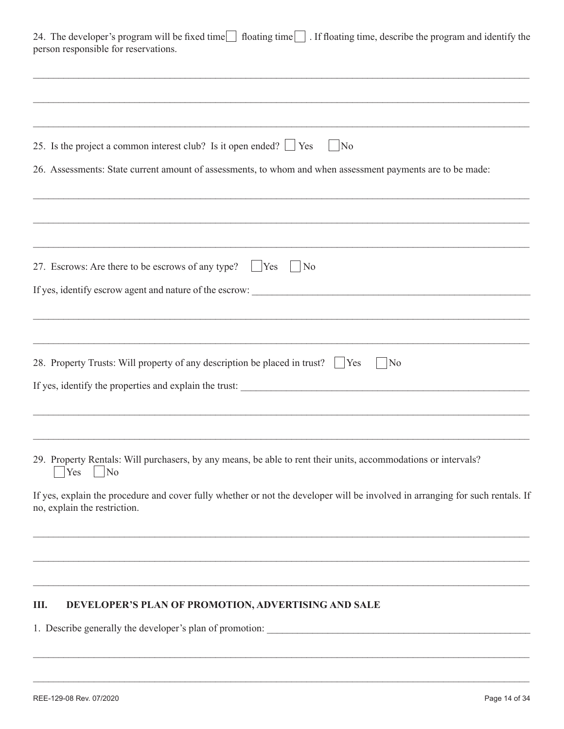| 24. The developer's program will be fixed time floating time Fl. If floating time, describe the program and identify the |  |  |
|--------------------------------------------------------------------------------------------------------------------------|--|--|
| person responsible for reservations.                                                                                     |  |  |

| 25. Is the project a common interest club? Is it open ended? $\Box$ Yes<br>$ $ No                                                                             |
|---------------------------------------------------------------------------------------------------------------------------------------------------------------|
| 26. Assessments: State current amount of assessments, to whom and when assessment payments are to be made:                                                    |
|                                                                                                                                                               |
| 27. Escrows: Are there to be escrows of any type? Tes<br>N <sub>o</sub><br>$\mathcal{L}$                                                                      |
|                                                                                                                                                               |
|                                                                                                                                                               |
| 28. Property Trusts: Will property of any description be placed in trust?   Yes<br> No                                                                        |
|                                                                                                                                                               |
| 29. Property Rentals: Will purchasers, by any means, be able to rent their units, accommodations or intervals?<br>Yes<br>$\overline{N_0}$                     |
| If yes, explain the procedure and cover fully whether or not the developer will be involved in arranging for such rentals. If<br>no, explain the restriction. |
|                                                                                                                                                               |
| DEVELOPER'S PLAN OF PROMOTION, ADVERTISING AND SALE<br>III.                                                                                                   |

 $\mathcal{L}_\mathcal{L} = \mathcal{L}_\mathcal{L} = \mathcal{L}_\mathcal{L} = \mathcal{L}_\mathcal{L} = \mathcal{L}_\mathcal{L} = \mathcal{L}_\mathcal{L} = \mathcal{L}_\mathcal{L} = \mathcal{L}_\mathcal{L} = \mathcal{L}_\mathcal{L} = \mathcal{L}_\mathcal{L} = \mathcal{L}_\mathcal{L} = \mathcal{L}_\mathcal{L} = \mathcal{L}_\mathcal{L} = \mathcal{L}_\mathcal{L} = \mathcal{L}_\mathcal{L} = \mathcal{L}_\mathcal{L} = \mathcal{L}_\mathcal{L}$ 

 $\mathcal{L}_\mathcal{L} = \mathcal{L}_\mathcal{L} = \mathcal{L}_\mathcal{L} = \mathcal{L}_\mathcal{L} = \mathcal{L}_\mathcal{L} = \mathcal{L}_\mathcal{L} = \mathcal{L}_\mathcal{L} = \mathcal{L}_\mathcal{L} = \mathcal{L}_\mathcal{L} = \mathcal{L}_\mathcal{L} = \mathcal{L}_\mathcal{L} = \mathcal{L}_\mathcal{L} = \mathcal{L}_\mathcal{L} = \mathcal{L}_\mathcal{L} = \mathcal{L}_\mathcal{L} = \mathcal{L}_\mathcal{L} = \mathcal{L}_\mathcal{L}$ 

1. Describe generally the developer's plan of promotion: \_\_\_\_\_\_\_\_\_\_\_\_\_\_\_\_\_\_\_\_\_\_\_\_\_\_\_\_\_\_\_\_\_\_\_\_\_\_\_\_\_\_\_\_\_\_\_\_\_\_\_\_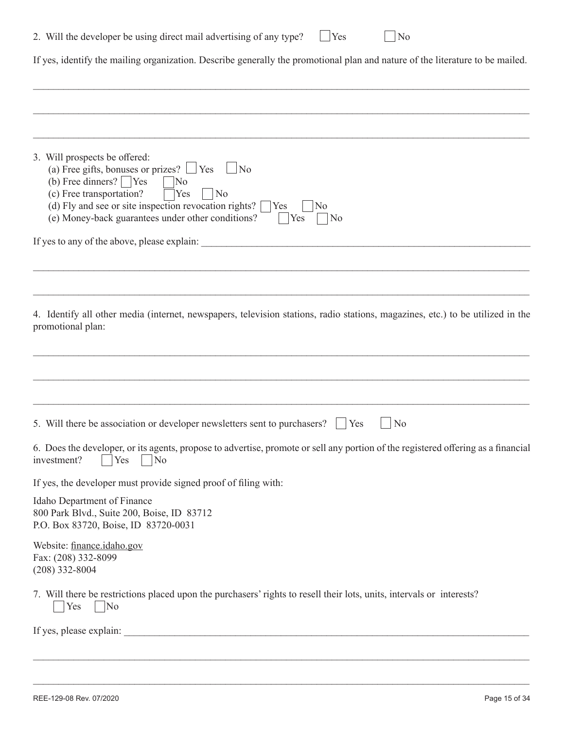|  | 2. Will the developer be using direct mail advertising of any type? |  |  |  | $\Box$ Yes | $\mathbf{N}$ |
|--|---------------------------------------------------------------------|--|--|--|------------|--------------|
|--|---------------------------------------------------------------------|--|--|--|------------|--------------|

If yes, identify the mailing organization. Describe generally the promotional plan and nature of the literature to be mailed.

 $\mathcal{L}_\mathcal{L} = \mathcal{L}_\mathcal{L} = \mathcal{L}_\mathcal{L} = \mathcal{L}_\mathcal{L} = \mathcal{L}_\mathcal{L} = \mathcal{L}_\mathcal{L} = \mathcal{L}_\mathcal{L} = \mathcal{L}_\mathcal{L} = \mathcal{L}_\mathcal{L} = \mathcal{L}_\mathcal{L} = \mathcal{L}_\mathcal{L} = \mathcal{L}_\mathcal{L} = \mathcal{L}_\mathcal{L} = \mathcal{L}_\mathcal{L} = \mathcal{L}_\mathcal{L} = \mathcal{L}_\mathcal{L} = \mathcal{L}_\mathcal{L}$ 

| 3. Will prospects be offered:<br>(a) Free gifts, bonuses or prizes? $\Box$ Yes $\Box$ No<br>(b) Free dinners? $\Box$ Yes<br>$\overline{\rm No}$<br>(c) Free transportation?<br>Yes<br> No<br>(d) Fly and see or site inspection revocation rights?<br>Yes<br>No<br>(e) Money-back guarantees under other conditions?<br>Yes<br>No |
|-----------------------------------------------------------------------------------------------------------------------------------------------------------------------------------------------------------------------------------------------------------------------------------------------------------------------------------|
| If yes to any of the above, please explain:                                                                                                                                                                                                                                                                                       |
|                                                                                                                                                                                                                                                                                                                                   |
| 4. Identify all other media (internet, newspapers, television stations, radio stations, magazines, etc.) to be utilized in the<br>promotional plan:                                                                                                                                                                               |
|                                                                                                                                                                                                                                                                                                                                   |
| 5. Will there be association or developer newsletters sent to purchasers?<br>N <sub>o</sub><br>Yes                                                                                                                                                                                                                                |
| 6. Does the developer, or its agents, propose to advertise, promote or sell any portion of the registered offering as a financial<br>investment?<br>Yes<br>N <sub>o</sub>                                                                                                                                                         |
| If yes, the developer must provide signed proof of filing with:                                                                                                                                                                                                                                                                   |
| Idaho Department of Finance<br>800 Park Blvd., Suite 200, Boise, ID 83712<br>P.O. Box 83720, Boise, ID 83720-0031                                                                                                                                                                                                                 |
| Website: finance.idaho.gov<br>Fax: (208) 332-8099<br>$(208)$ 332-8004                                                                                                                                                                                                                                                             |
| 7. Will there be restrictions placed upon the purchasers' rights to resell their lots, units, intervals or interests?<br>$ $ No<br>Yes                                                                                                                                                                                            |
|                                                                                                                                                                                                                                                                                                                                   |
|                                                                                                                                                                                                                                                                                                                                   |

 $\_$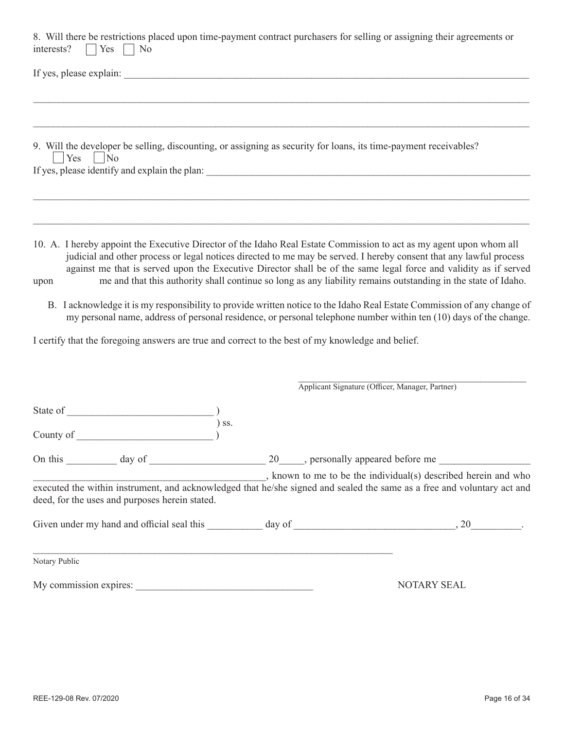| 8. Will there be restrictions placed upon time-payment contract purchasers for selling or assigning their agreements or<br>interests?<br>$\bigcap$ Yes $\bigcap$ No                                                                                                                                                                                                                                                                                                                                                                                                                                                   |  |                                                                                                               |
|-----------------------------------------------------------------------------------------------------------------------------------------------------------------------------------------------------------------------------------------------------------------------------------------------------------------------------------------------------------------------------------------------------------------------------------------------------------------------------------------------------------------------------------------------------------------------------------------------------------------------|--|---------------------------------------------------------------------------------------------------------------|
| If yes, please explain:                                                                                                                                                                                                                                                                                                                                                                                                                                                                                                                                                                                               |  |                                                                                                               |
|                                                                                                                                                                                                                                                                                                                                                                                                                                                                                                                                                                                                                       |  |                                                                                                               |
| 9. Will the developer be selling, discounting, or assigning as security for loans, its time-payment receivables?<br>$ $ Yes $ $ No                                                                                                                                                                                                                                                                                                                                                                                                                                                                                    |  |                                                                                                               |
|                                                                                                                                                                                                                                                                                                                                                                                                                                                                                                                                                                                                                       |  |                                                                                                               |
| 10. A. I hereby appoint the Executive Director of the Idaho Real Estate Commission to act as my agent upon whom all<br>judicial and other process or legal notices directed to me may be served. I hereby consent that any lawful process<br>against me that is served upon the Executive Director shall be of the same legal force and validity as if served<br>upon<br>B. I acknowledge it is my responsibility to provide written notice to the Idaho Real Estate Commission of any change of<br>my personal name, address of personal residence, or personal telephone number within ten (10) days of the change. |  | me and that this authority shall continue so long as any liability remains outstanding in the state of Idaho. |
| I certify that the foregoing answers are true and correct to the best of my knowledge and belief.                                                                                                                                                                                                                                                                                                                                                                                                                                                                                                                     |  |                                                                                                               |
|                                                                                                                                                                                                                                                                                                                                                                                                                                                                                                                                                                                                                       |  | Applicant Signature (Officer, Manager, Partner)                                                               |
|                                                                                                                                                                                                                                                                                                                                                                                                                                                                                                                                                                                                                       |  |                                                                                                               |
| $)$ ss.                                                                                                                                                                                                                                                                                                                                                                                                                                                                                                                                                                                                               |  |                                                                                                               |
|                                                                                                                                                                                                                                                                                                                                                                                                                                                                                                                                                                                                                       |  |                                                                                                               |
| executed the within instrument, and acknowledged that he/she signed and sealed the same as a free and voluntary act and<br>deed, for the uses and purposes herein stated.                                                                                                                                                                                                                                                                                                                                                                                                                                             |  | , known to me to be the individual(s) described herein and who                                                |
|                                                                                                                                                                                                                                                                                                                                                                                                                                                                                                                                                                                                                       |  |                                                                                                               |
| Notary Public                                                                                                                                                                                                                                                                                                                                                                                                                                                                                                                                                                                                         |  |                                                                                                               |
| My commission expires:                                                                                                                                                                                                                                                                                                                                                                                                                                                                                                                                                                                                |  | NOTARY SEAL                                                                                                   |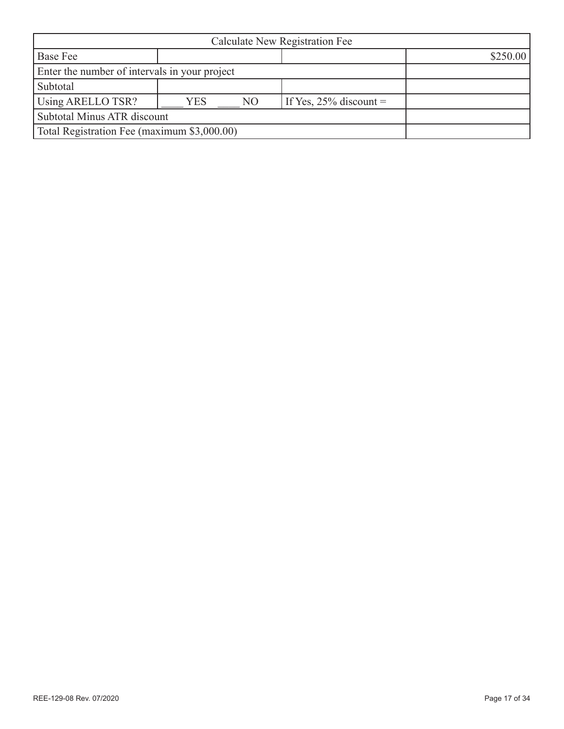| Calculate New Registration Fee                |            |                |                           |          |
|-----------------------------------------------|------------|----------------|---------------------------|----------|
| <b>Base Fee</b>                               |            |                |                           | \$250.00 |
| Enter the number of intervals in your project |            |                |                           |          |
| Subtotal                                      |            |                |                           |          |
| Using ARELLO TSR?                             | <b>YES</b> | N <sub>O</sub> | If Yes, $25\%$ discount = |          |
| Subtotal Minus ATR discount                   |            |                |                           |          |
| Total Registration Fee (maximum \$3,000.00)   |            |                |                           |          |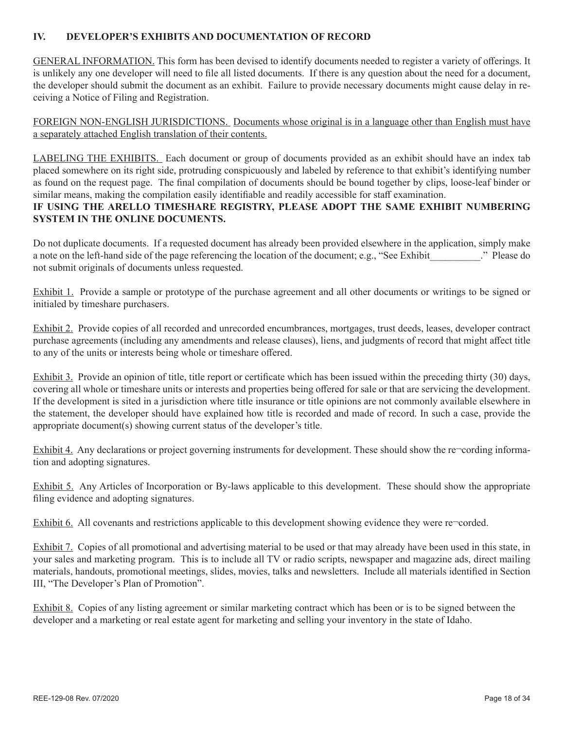## **IV. DEVELOPER'S EXHIBITS AND DOCUMENTATION OF RECORD**

GENERAL INFORMATION. This form has been devised to identify documents needed to register a variety of offerings. It is unlikely any one developer will need to file all listed documents. If there is any question about the need for a document, the developer should submit the document as an exhibit. Failure to provide necessary documents might cause delay in receiving a Notice of Filing and Registration.

FOREIGN NON-ENGLISH JURISDICTIONS. Documents whose original is in a language other than English must have a separately attached English translation of their contents.

LABELING THE EXHIBITS. Each document or group of documents provided as an exhibit should have an index tab placed somewhere on its right side, protruding conspicuously and labeled by reference to that exhibit's identifying number as found on the request page. The final compilation of documents should be bound together by clips, loose-leaf binder or similar means, making the compilation easily identifiable and readily accessible for staff examination.

## **IF USING THE ARELLO TIMESHARE REGISTRY, PLEASE ADOPT THE SAME EXHIBIT NUMBERING SYSTEM IN THE ONLINE DOCUMENTS.**

Do not duplicate documents. If a requested document has already been provided elsewhere in the application, simply make a note on the left-hand side of the page referencing the location of the document; e.g., "See Exhibit ..." Please do not submit originals of documents unless requested.

Exhibit 1. Provide a sample or prototype of the purchase agreement and all other documents or writings to be signed or initialed by timeshare purchasers.

Exhibit 2. Provide copies of all recorded and unrecorded encumbrances, mortgages, trust deeds, leases, developer contract purchase agreements (including any amendments and release clauses), liens, and judgments of record that might affect title to any of the units or interests being whole or timeshare offered.

Exhibit 3. Provide an opinion of title, title report or certificate which has been issued within the preceding thirty (30) days, covering all whole or timeshare units or interests and properties being offered for sale or that are servicing the development. If the development is sited in a jurisdiction where title insurance or title opinions are not commonly available elsewhere in the statement, the developer should have explained how title is recorded and made of record. In such a case, provide the appropriate document(s) showing current status of the developer's title.

Exhibit 4. Any declarations or project governing instruments for development. These should show the re-cording information and adopting signatures.

Exhibit 5. Any Articles of Incorporation or By-laws applicable to this development. These should show the appropriate filing evidence and adopting signatures.

Exhibit 6. All covenants and restrictions applicable to this development showing evidence they were re-corded.

Exhibit 7. Copies of all promotional and advertising material to be used or that may already have been used in this state, in your sales and marketing program. This is to include all TV or radio scripts, newspaper and magazine ads, direct mailing materials, handouts, promotional meetings, slides, movies, talks and newsletters. Include all materials identified in Section III, "The Developer's Plan of Promotion".

Exhibit 8. Copies of any listing agreement or similar marketing contract which has been or is to be signed between the developer and a marketing or real estate agent for marketing and selling your inventory in the state of Idaho.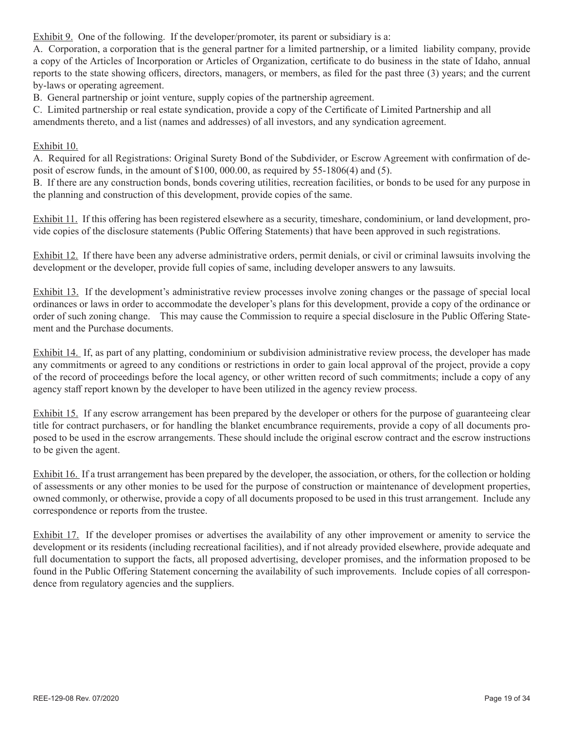Exhibit 9. One of the following. If the developer/promoter, its parent or subsidiary is a:

A. Corporation, a corporation that is the general partner for a limited partnership, or a limited liability company, provide a copy of the Articles of Incorporation or Articles of Organization, certificate to do business in the state of Idaho, annual reports to the state showing officers, directors, managers, or members, as filed for the past three (3) years; and the current by-laws or operating agreement.

B. General partnership or joint venture, supply copies of the partnership agreement.

C. Limited partnership or real estate syndication, provide a copy of the Certificate of Limited Partnership and all amendments thereto, and a list (names and addresses) of all investors, and any syndication agreement.

#### Exhibit 10.

A. Required for all Registrations: Original Surety Bond of the Subdivider, or Escrow Agreement with confirmation of deposit of escrow funds, in the amount of \$100, 000.00, as required by 55-1806(4) and (5).

B. If there are any construction bonds, bonds covering utilities, recreation facilities, or bonds to be used for any purpose in the planning and construction of this development, provide copies of the same.

Exhibit 11. If this offering has been registered elsewhere as a security, timeshare, condominium, or land development, provide copies of the disclosure statements (Public Offering Statements) that have been approved in such registrations.

Exhibit 12. If there have been any adverse administrative orders, permit denials, or civil or criminal lawsuits involving the development or the developer, provide full copies of same, including developer answers to any lawsuits.

Exhibit 13. If the development's administrative review processes involve zoning changes or the passage of special local ordinances or laws in order to accommodate the developer's plans for this development, provide a copy of the ordinance or order of such zoning change. This may cause the Commission to require a special disclosure in the Public Offering Statement and the Purchase documents.

Exhibit 14. If, as part of any platting, condominium or subdivision administrative review process, the developer has made any commitments or agreed to any conditions or restrictions in order to gain local approval of the project, provide a copy of the record of proceedings before the local agency, or other written record of such commitments; include a copy of any agency staff report known by the developer to have been utilized in the agency review process.

Exhibit 15. If any escrow arrangement has been prepared by the developer or others for the purpose of guaranteeing clear title for contract purchasers, or for handling the blanket encumbrance requirements, provide a copy of all documents proposed to be used in the escrow arrangements. These should include the original escrow contract and the escrow instructions to be given the agent.

Exhibit 16. If a trust arrangement has been prepared by the developer, the association, or others, for the collection or holding of assessments or any other monies to be used for the purpose of construction or maintenance of development properties, owned commonly, or otherwise, provide a copy of all documents proposed to be used in this trust arrangement. Include any correspondence or reports from the trustee.

Exhibit 17. If the developer promises or advertises the availability of any other improvement or amenity to service the development or its residents (including recreational facilities), and if not already provided elsewhere, provide adequate and full documentation to support the facts, all proposed advertising, developer promises, and the information proposed to be found in the Public Offering Statement concerning the availability of such improvements. Include copies of all correspondence from regulatory agencies and the suppliers.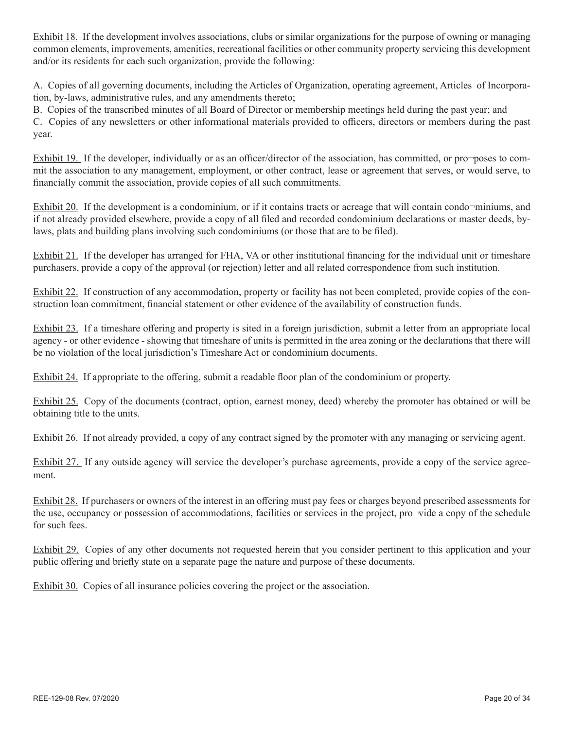Exhibit 18. If the development involves associations, clubs or similar organizations for the purpose of owning or managing common elements, improvements, amenities, recreational facilities or other community property servicing this development and/or its residents for each such organization, provide the following:

A. Copies of all governing documents, including the Articles of Organization, operating agreement, Articles of Incorporation, by-laws, administrative rules, and any amendments thereto;

B. Copies of the transcribed minutes of all Board of Director or membership meetings held during the past year; and C. Copies of any newsletters or other informational materials provided to officers, directors or members during the past year.

Exhibit 19. If the developer, individually or as an officer/director of the association, has committed, or pro¬poses to commit the association to any management, employment, or other contract, lease or agreement that serves, or would serve, to financially commit the association, provide copies of all such commitments.

Exhibit 20. If the development is a condominium, or if it contains tracts or acreage that will contain condo¬miniums, and if not already provided elsewhere, provide a copy of all filed and recorded condominium declarations or master deeds, bylaws, plats and building plans involving such condominiums (or those that are to be filed).

Exhibit 21. If the developer has arranged for FHA, VA or other institutional financing for the individual unit or timeshare purchasers, provide a copy of the approval (or rejection) letter and all related correspondence from such institution.

Exhibit 22. If construction of any accommodation, property or facility has not been completed, provide copies of the construction loan commitment, financial statement or other evidence of the availability of construction funds.

Exhibit 23. If a timeshare offering and property is sited in a foreign jurisdiction, submit a letter from an appropriate local agency - or other evidence - showing that timeshare of units is permitted in the area zoning or the declarations that there will be no violation of the local jurisdiction's Timeshare Act or condominium documents.

Exhibit 24. If appropriate to the offering, submit a readable floor plan of the condominium or property.

Exhibit 25. Copy of the documents (contract, option, earnest money, deed) whereby the promoter has obtained or will be obtaining title to the units.

Exhibit 26. If not already provided, a copy of any contract signed by the promoter with any managing or servicing agent.

Exhibit 27. If any outside agency will service the developer's purchase agreements, provide a copy of the service agreement.

Exhibit 28. If purchasers or owners of the interest in an offering must pay fees or charges beyond prescribed assessments for the use, occupancy or possession of accommodations, facilities or services in the project, pro¬vide a copy of the schedule for such fees.

Exhibit 29. Copies of any other documents not requested herein that you consider pertinent to this application and your public offering and briefly state on a separate page the nature and purpose of these documents.

Exhibit 30. Copies of all insurance policies covering the project or the association.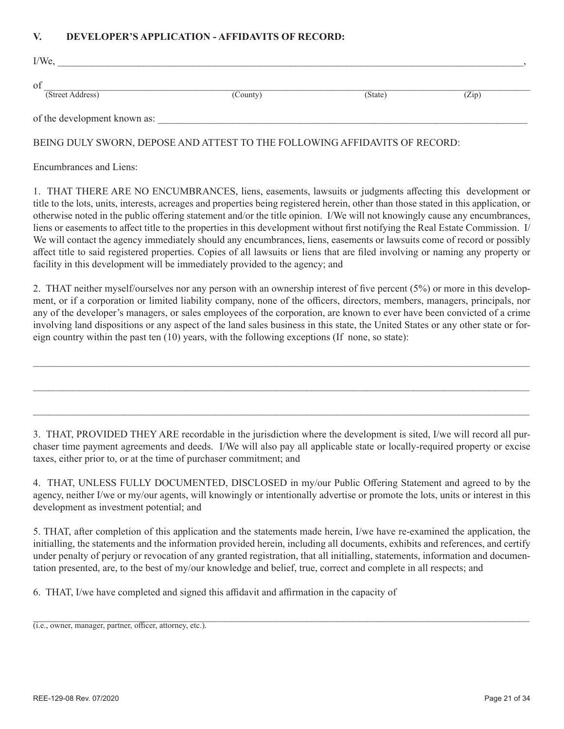#### **V. DEVELOPER'S APPLICATION - AFFIDAVITS OF RECORD:**

| $I/We$ ,                          |          |         |       |  |
|-----------------------------------|----------|---------|-------|--|
| <sub>of</sub><br>(Street Address) | (County) | (State) | (Zip) |  |
| of the development known as:      |          |         |       |  |

#### BEING DULY SWORN, DEPOSE AND ATTEST TO THE FOLLOWING AFFIDAVITS OF RECORD:

Encumbrances and Liens:

1. THAT THERE ARE NO ENCUMBRANCES, liens, easements, lawsuits or judgments affecting this development or title to the lots, units, interests, acreages and properties being registered herein, other than those stated in this application, or otherwise noted in the public offering statement and/or the title opinion. I/We will not knowingly cause any encumbrances, liens or easements to affect title to the properties in this development without first notifying the Real Estate Commission. I/ We will contact the agency immediately should any encumbrances, liens, easements or lawsuits come of record or possibly affect title to said registered properties. Copies of all lawsuits or liens that are filed involving or naming any property or facility in this development will be immediately provided to the agency; and

2. THAT neither myself/ourselves nor any person with an ownership interest of five percent (5%) or more in this development, or if a corporation or limited liability company, none of the officers, directors, members, managers, principals, nor any of the developer's managers, or sales employees of the corporation, are known to ever have been convicted of a crime involving land dispositions or any aspect of the land sales business in this state, the United States or any other state or foreign country within the past ten (10) years, with the following exceptions (If none, so state):

 $\mathcal{L}_\mathcal{L} = \mathcal{L}_\mathcal{L} = \mathcal{L}_\mathcal{L} = \mathcal{L}_\mathcal{L} = \mathcal{L}_\mathcal{L} = \mathcal{L}_\mathcal{L} = \mathcal{L}_\mathcal{L} = \mathcal{L}_\mathcal{L} = \mathcal{L}_\mathcal{L} = \mathcal{L}_\mathcal{L} = \mathcal{L}_\mathcal{L} = \mathcal{L}_\mathcal{L} = \mathcal{L}_\mathcal{L} = \mathcal{L}_\mathcal{L} = \mathcal{L}_\mathcal{L} = \mathcal{L}_\mathcal{L} = \mathcal{L}_\mathcal{L}$ 

 $\mathcal{L}_\mathcal{L} = \mathcal{L}_\mathcal{L} = \mathcal{L}_\mathcal{L} = \mathcal{L}_\mathcal{L} = \mathcal{L}_\mathcal{L} = \mathcal{L}_\mathcal{L} = \mathcal{L}_\mathcal{L} = \mathcal{L}_\mathcal{L} = \mathcal{L}_\mathcal{L} = \mathcal{L}_\mathcal{L} = \mathcal{L}_\mathcal{L} = \mathcal{L}_\mathcal{L} = \mathcal{L}_\mathcal{L} = \mathcal{L}_\mathcal{L} = \mathcal{L}_\mathcal{L} = \mathcal{L}_\mathcal{L} = \mathcal{L}_\mathcal{L}$ 

 $\mathcal{L}_\mathcal{L} = \mathcal{L}_\mathcal{L} = \mathcal{L}_\mathcal{L} = \mathcal{L}_\mathcal{L} = \mathcal{L}_\mathcal{L} = \mathcal{L}_\mathcal{L} = \mathcal{L}_\mathcal{L} = \mathcal{L}_\mathcal{L} = \mathcal{L}_\mathcal{L} = \mathcal{L}_\mathcal{L} = \mathcal{L}_\mathcal{L} = \mathcal{L}_\mathcal{L} = \mathcal{L}_\mathcal{L} = \mathcal{L}_\mathcal{L} = \mathcal{L}_\mathcal{L} = \mathcal{L}_\mathcal{L} = \mathcal{L}_\mathcal{L}$ 

3. THAT, PROVIDED THEY ARE recordable in the jurisdiction where the development is sited, I/we will record all purchaser time payment agreements and deeds. I/We will also pay all applicable state or locally-required property or excise taxes, either prior to, or at the time of purchaser commitment; and

4. THAT, UNLESS FULLY DOCUMENTED, DISCLOSED in my/our Public Offering Statement and agreed to by the agency, neither I/we or my/our agents, will knowingly or intentionally advertise or promote the lots, units or interest in this development as investment potential; and

5. THAT, after completion of this application and the statements made herein, I/we have re-examined the application, the initialling, the statements and the information provided herein, including all documents, exhibits and references, and certify under penalty of perjury or revocation of any granted registration, that all initialling, statements, information and documentation presented, are, to the best of my/our knowledge and belief, true, correct and complete in all respects; and

6. THAT, I/we have completed and signed this affidavit and affirmation in the capacity of

 $\_$  , and the contribution of the contribution of the contribution of the contribution of  $\mathcal{L}_\mathbf{X}$ (i.e., owner, manager, partner, officer, attorney, etc.).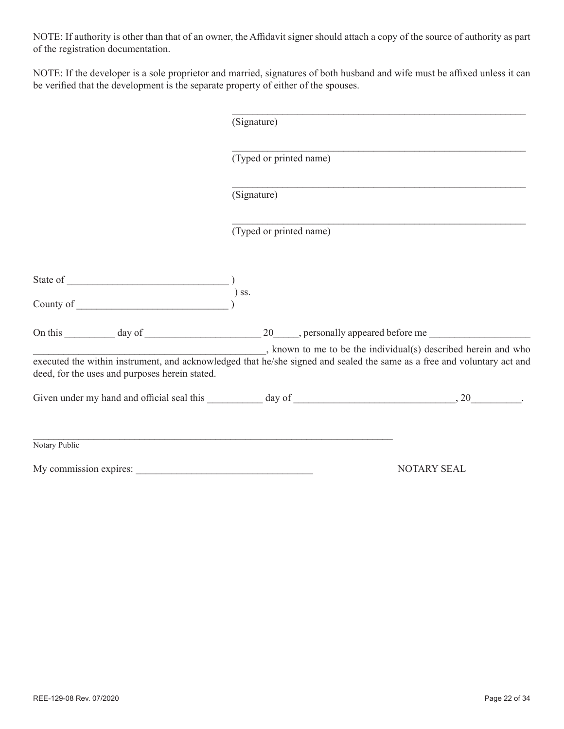NOTE: If authority is other than that of an owner, the Affidavit signer should attach a copy of the source of authority as part of the registration documentation.

NOTE: If the developer is a sole proprietor and married, signatures of both husband and wife must be affixed unless it can be verified that the development is the separate property of either of the spouses.

|                                                | (Signature)             |                                                                                                                                                                                           |  |
|------------------------------------------------|-------------------------|-------------------------------------------------------------------------------------------------------------------------------------------------------------------------------------------|--|
|                                                | (Typed or printed name) |                                                                                                                                                                                           |  |
|                                                | (Signature)             |                                                                                                                                                                                           |  |
|                                                | (Typed or printed name) |                                                                                                                                                                                           |  |
|                                                |                         |                                                                                                                                                                                           |  |
| $)\;$ SS.                                      |                         |                                                                                                                                                                                           |  |
|                                                |                         |                                                                                                                                                                                           |  |
| deed, for the uses and purposes herein stated. |                         | , known to me to be the individual(s) described herein and who<br>executed the within instrument, and acknowledged that he/she signed and sealed the same as a free and voluntary act and |  |
|                                                |                         |                                                                                                                                                                                           |  |
| Notary Public                                  |                         |                                                                                                                                                                                           |  |
|                                                |                         | <b>NOTARY SEAL</b>                                                                                                                                                                        |  |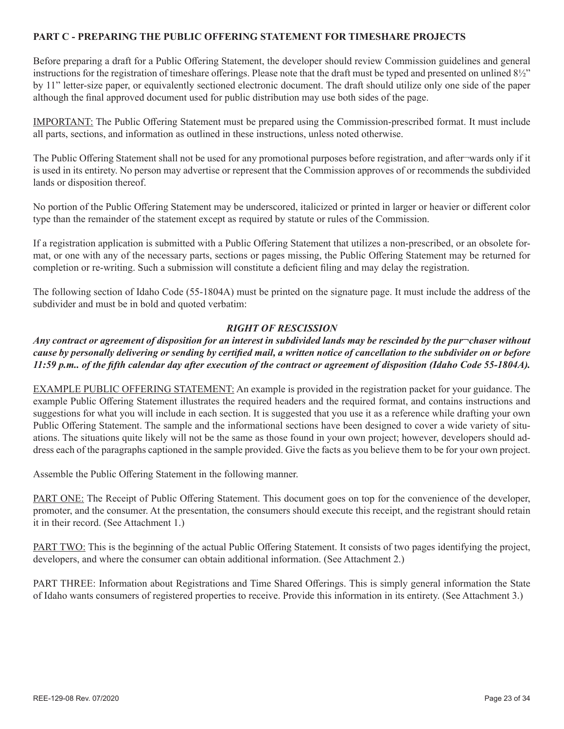#### **PART C - PREPARING THE PUBLIC OFFERING STATEMENT FOR TIMESHARE PROJECTS**

Before preparing a draft for a Public Offering Statement, the developer should review Commission guidelines and general instructions for the registration of timeshare offerings. Please note that the draft must be typed and presented on unlined 8½" by 11" letter-size paper, or equivalently sectioned electronic document. The draft should utilize only one side of the paper although the final approved document used for public distribution may use both sides of the page.

IMPORTANT: The Public Offering Statement must be prepared using the Commission-prescribed format. It must include all parts, sections, and information as outlined in these instructions, unless noted otherwise.

The Public Offering Statement shall not be used for any promotional purposes before registration, and after-wards only if it is used in its entirety. No person may advertise or represent that the Commission approves of or recommends the subdivided lands or disposition thereof.

No portion of the Public Offering Statement may be underscored, italicized or printed in larger or heavier or different color type than the remainder of the statement except as required by statute or rules of the Commission.

If a registration application is submitted with a Public Offering Statement that utilizes a non-prescribed, or an obsolete format, or one with any of the necessary parts, sections or pages missing, the Public Offering Statement may be returned for completion or re-writing. Such a submission will constitute a deficient filing and may delay the registration.

The following section of Idaho Code (55-1804A) must be printed on the signature page. It must include the address of the subdivider and must be in bold and quoted verbatim:

#### *RIGHT OF RESCISSION*

## *Any contract or agreement of disposition for an interest in subdivided lands may be rescinded by the pur¬chaser without cause by personally delivering or sending by certified mail, a written notice of cancellation to the subdivider on or before 11:59 p.m.. of the fifth calendar day after execution of the contract or agreement of disposition (Idaho Code 55-1804A).*

EXAMPLE PUBLIC OFFERING STATEMENT: An example is provided in the registration packet for your guidance. The example Public Offering Statement illustrates the required headers and the required format, and contains instructions and suggestions for what you will include in each section. It is suggested that you use it as a reference while drafting your own Public Offering Statement. The sample and the informational sections have been designed to cover a wide variety of situations. The situations quite likely will not be the same as those found in your own project; however, developers should address each of the paragraphs captioned in the sample provided. Give the facts as you believe them to be for your own project.

Assemble the Public Offering Statement in the following manner.

PART ONE: The Receipt of Public Offering Statement. This document goes on top for the convenience of the developer, promoter, and the consumer. At the presentation, the consumers should execute this receipt, and the registrant should retain it in their record. (See Attachment 1.)

PART TWO: This is the beginning of the actual Public Offering Statement. It consists of two pages identifying the project, developers, and where the consumer can obtain additional information. (See Attachment 2.)

PART THREE: Information about Registrations and Time Shared Offerings. This is simply general information the State of Idaho wants consumers of registered properties to receive. Provide this information in its entirety. (See Attachment 3.)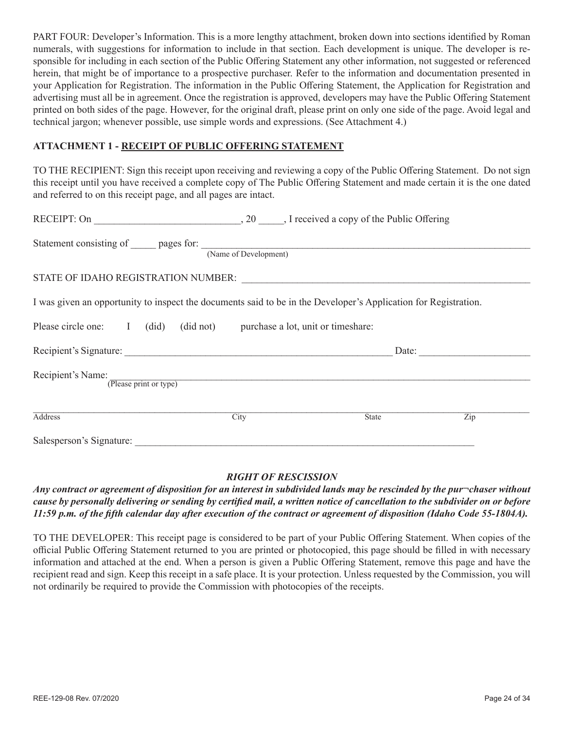PART FOUR: Developer's Information. This is a more lengthy attachment, broken down into sections identified by Roman numerals, with suggestions for information to include in that section. Each development is unique. The developer is responsible for including in each section of the Public Offering Statement any other information, not suggested or referenced herein, that might be of importance to a prospective purchaser. Refer to the information and documentation presented in your Application for Registration. The information in the Public Offering Statement, the Application for Registration and advertising must all be in agreement. Once the registration is approved, developers may have the Public Offering Statement printed on both sides of the page. However, for the original draft, please print on only one side of the page. Avoid legal and technical jargon; whenever possible, use simple words and expressions. (See Attachment 4.)

## **ATTACHMENT 1 - RECEIPT OF PUBLIC OFFERING STATEMENT**

TO THE RECIPIENT: Sign this receipt upon receiving and reviewing a copy of the Public Offering Statement. Do not sign this receipt until you have received a complete copy of The Public Offering Statement and made certain it is the one dated and referred to on this receipt page, and all pages are intact.

| Statement consisting of pages for: (Name of Development)                                                        |      |              |     |
|-----------------------------------------------------------------------------------------------------------------|------|--------------|-----|
|                                                                                                                 |      |              |     |
| I was given an opportunity to inspect the documents said to be in the Developer's Application for Registration. |      |              |     |
| Please circle one: I (did) (did not) purchase a lot, unit or timeshare:                                         |      |              |     |
|                                                                                                                 |      |              |     |
| Recipient's Name:<br>:<br>(Please print or type)                                                                |      |              |     |
| <b>Address</b>                                                                                                  | City | <b>State</b> | Zip |
| Salesperson's Signature:                                                                                        |      |              |     |

#### *RIGHT OF RESCISSION*

*Any contract or agreement of disposition for an interest in subdivided lands may be rescinded by the pur¬chaser without cause by personally delivering or sending by certified mail, a written notice of cancellation to the subdivider on or before 11:59 p.m. of the fifth calendar day after execution of the contract or agreement of disposition (Idaho Code 55-1804A).*

TO THE DEVELOPER: This receipt page is considered to be part of your Public Offering Statement. When copies of the official Public Offering Statement returned to you are printed or photocopied, this page should be filled in with necessary information and attached at the end. When a person is given a Public Offering Statement, remove this page and have the recipient read and sign. Keep this receipt in a safe place. It is your protection. Unless requested by the Commission, you will not ordinarily be required to provide the Commission with photocopies of the receipts.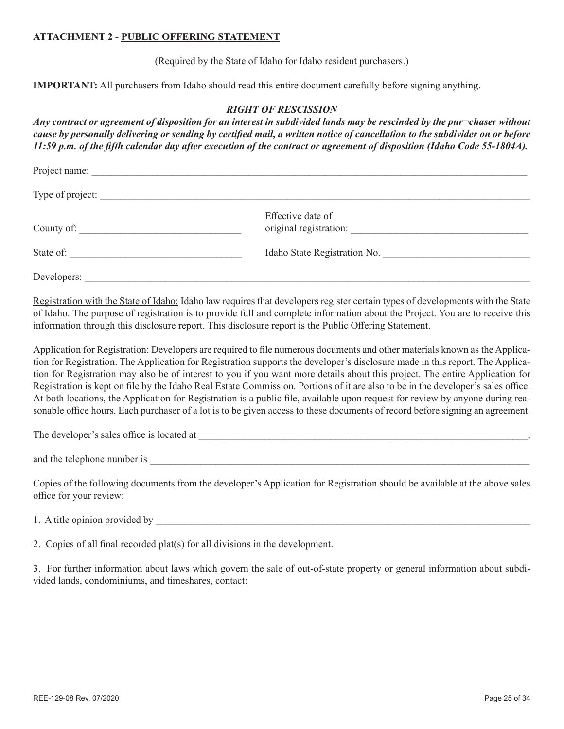#### **ATTACHMENT 2 - PUBLIC OFFERING STATEMENT**

(Required by the State of Idaho for Idaho resident purchasers.)

**IMPORTANT:** All purchasers from Idaho should read this entire document carefully before signing anything.

#### *RIGHT OF RESCISSION*

*Any contract or agreement of disposition for an interest in subdivided lands may be rescinded by the pur¬chaser without cause by personally delivering or sending by certified mail, a written notice of cancellation to the subdivider on or before 11:59 p.m. of the fifth calendar day after execution of the contract or agreement of disposition (Idaho Code 55-1804A).*

| Project name:    |                              |  |
|------------------|------------------------------|--|
| Type of project: |                              |  |
| County of:       | Effective date of            |  |
| State of:        | Idaho State Registration No. |  |
| Developers:      |                              |  |

Registration with the State of Idaho: Idaho law requires that developers register certain types of developments with the State of Idaho. The purpose of registration is to provide full and complete information about the Project. You are to receive this information through this disclosure report. This disclosure report is the Public Offering Statement.

Application for Registration: Developers are required to file numerous documents and other materials known as the Application for Registration. The Application for Registration supports the developer's disclosure made in this report. The Application for Registration may also be of interest to you if you want more details about this project. The entire Application for Registration is kept on file by the Idaho Real Estate Commission. Portions of it are also to be in the developer's sales office. At both locations, the Application for Registration is a public file, available upon request for review by anyone during reasonable office hours. Each purchaser of a lot is to be given access to these documents of record before signing an agreement.

The developer's sales office is located at  $\overline{a}$ 

and the telephone number is  $\blacksquare$ 

Copies of the following documents from the developer's Application for Registration should be available at the above sales office for your review:

1. A title opinion provided by

2. Copies of all final recorded plat(s) for all divisions in the development.

3. For further information about laws which govern the sale of out-of-state property or general information about subdivided lands, condominiums, and timeshares, contact: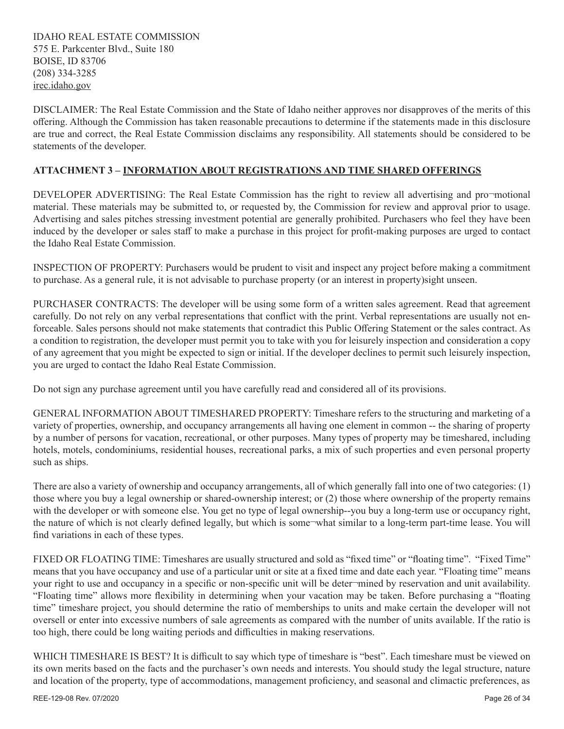IDAHO REAL ESTATE COMMISSION 575 E. Parkcenter Blvd., Suite 180 BOISE, ID 83706 (208) 334-3285 irec.idaho.gov

DISCLAIMER: The Real Estate Commission and the State of Idaho neither approves nor disapproves of the merits of this offering. Although the Commission has taken reasonable precautions to determine if the statements made in this disclosure are true and correct, the Real Estate Commission disclaims any responsibility. All statements should be considered to be statements of the developer.

## **ATTACHMENT 3 – INFORMATION ABOUT REGISTRATIONS AND TIME SHARED OFFERINGS**

DEVELOPER ADVERTISING: The Real Estate Commission has the right to review all advertising and pro¬motional material. These materials may be submitted to, or requested by, the Commission for review and approval prior to usage. Advertising and sales pitches stressing investment potential are generally prohibited. Purchasers who feel they have been induced by the developer or sales staff to make a purchase in this project for profit-making purposes are urged to contact the Idaho Real Estate Commission.

INSPECTION OF PROPERTY: Purchasers would be prudent to visit and inspect any project before making a commitment to purchase. As a general rule, it is not advisable to purchase property (or an interest in property)sight unseen.

PURCHASER CONTRACTS: The developer will be using some form of a written sales agreement. Read that agreement carefully. Do not rely on any verbal representations that conflict with the print. Verbal representations are usually not enforceable. Sales persons should not make statements that contradict this Public Offering Statement or the sales contract. As a condition to registration, the developer must permit you to take with you for leisurely inspection and consideration a copy of any agreement that you might be expected to sign or initial. If the developer declines to permit such leisurely inspection, you are urged to contact the Idaho Real Estate Commission.

Do not sign any purchase agreement until you have carefully read and considered all of its provisions.

GENERAL INFORMATION ABOUT TIMESHARED PROPERTY: Timeshare refers to the structuring and marketing of a variety of properties, ownership, and occupancy arrangements all having one element in common -- the sharing of property by a number of persons for vacation, recreational, or other purposes. Many types of property may be timeshared, including hotels, motels, condominiums, residential houses, recreational parks, a mix of such properties and even personal property such as ships.

There are also a variety of ownership and occupancy arrangements, all of which generally fall into one of two categories: (1) those where you buy a legal ownership or shared-ownership interest; or (2) those where ownership of the property remains with the developer or with someone else. You get no type of legal ownership--you buy a long-term use or occupancy right, the nature of which is not clearly defined legally, but which is some¬what similar to a long-term part-time lease. You will find variations in each of these types.

FIXED OR FLOATING TIME: Timeshares are usually structured and sold as "fixed time" or "floating time". "Fixed Time" means that you have occupancy and use of a particular unit or site at a fixed time and date each year. "Floating time" means your right to use and occupancy in a specific or non-specific unit will be deter-mined by reservation and unit availability. "Floating time" allows more flexibility in determining when your vacation may be taken. Before purchasing a "floating time" timeshare project, you should determine the ratio of memberships to units and make certain the developer will not oversell or enter into excessive numbers of sale agreements as compared with the number of units available. If the ratio is too high, there could be long waiting periods and difficulties in making reservations.

WHICH TIMESHARE IS BEST? It is difficult to say which type of timeshare is "best". Each timeshare must be viewed on its own merits based on the facts and the purchaser's own needs and interests. You should study the legal structure, nature and location of the property, type of accommodations, management proficiency, and seasonal and climactic preferences, as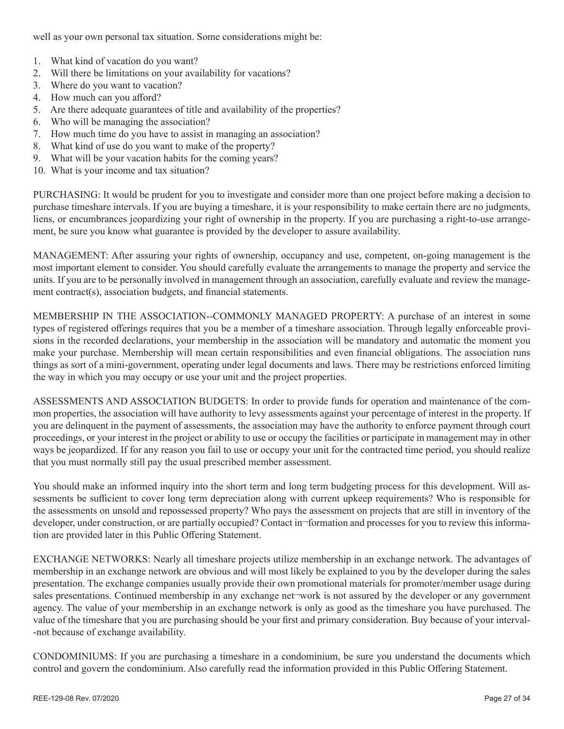well as your own personal tax situation. Some considerations might be:

- 1. What kind of vacation do you want?
- 2. Will there be limitations on your availability for vacations?
- 3. Where do you want to vacation?
- 4. How much can you afford?
- 5. Are there adequate guarantees of title and availability of the properties?
- 6. Who will be managing the association?
- 7. How much time do you have to assist in managing an association?
- 8. What kind of use do you want to make of the property?
- 9. What will be your vacation habits for the coming years?
- 10. What is your income and tax situation?

PURCHASING: It would be prudent for you to investigate and consider more than one project before making a decision to purchase timeshare intervals. If you are buying a timeshare, it is your responsibility to make certain there are no judgments, liens, or encumbrances jeopardizing your right of ownership in the property. If you are purchasing a right-to-use arrangement, be sure you know what guarantee is provided by the developer to assure availability.

MANAGEMENT: After assuring your rights of ownership, occupancy and use, competent, on-going management is the most important element to consider. You should carefully evaluate the arrangements to manage the property and service the units. If you are to be personally involved in management through an association, carefully evaluate and review the management contract(s), association budgets, and financial statements.

MEMBERSHIP IN THE ASSOCIATION--COMMONLY MANAGED PROPERTY: A purchase of an interest in some types of registered offerings requires that you be a member of a timeshare association. Through legally enforceable provisions in the recorded declarations, your membership in the association will be mandatory and automatic the moment you make your purchase. Membership will mean certain responsibilities and even financial obligations. The association runs things as sort of a mini-government, operating under legal documents and laws. There may be restrictions enforced limiting the way in which you may occupy or use your unit and the project properties.

ASSESSMENTS AND ASSOCIATION BUDGETS: In order to provide funds for operation and maintenance of the common properties, the association will have authority to levy assessments against your percentage of interest in the property. If you are delinquent in the payment of assessments, the association may have the authority to enforce payment through court proceedings, or your interest in the project or ability to use or occupy the facilities or participate in management may in other ways be jeopardized. If for any reason you fail to use or occupy your unit for the contracted time period, you should realize that you must normally still pay the usual prescribed member assessment.

You should make an informed inquiry into the short term and long term budgeting process for this development. Will assessments be sufficient to cover long term depreciation along with current upkeep requirements? Who is responsible for the assessments on unsold and repossessed property? Who pays the assessment on projects that are still in inventory of the developer, under construction, or are partially occupied? Contact in¬formation and processes for you to review this information are provided later in this Public Offering Statement.

EXCHANGE NETWORKS: Nearly all timeshare projects utilize membership in an exchange network. The advantages of membership in an exchange network are obvious and will most likely be explained to you by the developer during the sales presentation. The exchange companies usually provide their own promotional materials for promoter/member usage during sales presentations. Continued membership in any exchange net-work is not assured by the developer or any government agency. The value of your membership in an exchange network is only as good as the timeshare you have purchased. The value of the timeshare that you are purchasing should be your first and primary consideration. Buy because of your interval- -not because of exchange availability.

CONDOMINIUMS: If you are purchasing a timeshare in a condominium, be sure you understand the documents which control and govern the condominium. Also carefully read the information provided in this Public Offering Statement.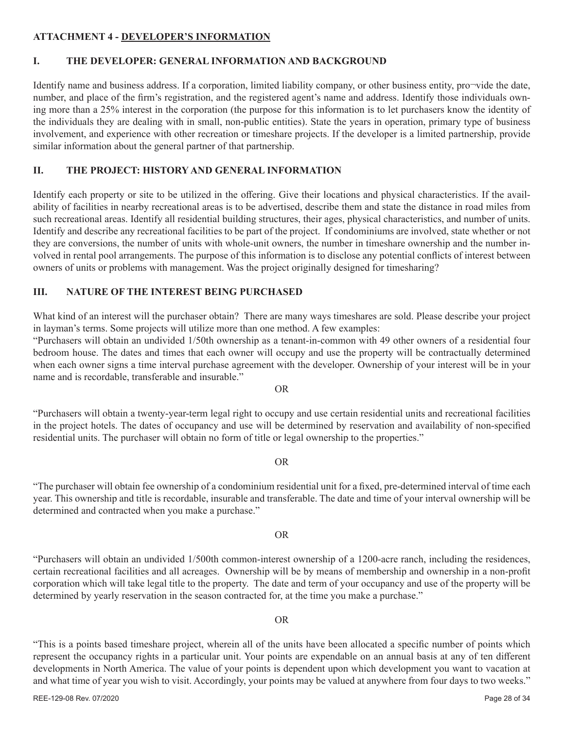#### **ATTACHMENT 4 - DEVELOPER'S INFORMATION**

#### **I. THE DEVELOPER: GENERAL INFORMATION AND BACKGROUND**

Identify name and business address. If a corporation, limited liability company, or other business entity, pro¬vide the date, number, and place of the firm's registration, and the registered agent's name and address. Identify those individuals owning more than a 25% interest in the corporation (the purpose for this information is to let purchasers know the identity of the individuals they are dealing with in small, non-public entities). State the years in operation, primary type of business involvement, and experience with other recreation or timeshare projects. If the developer is a limited partnership, provide similar information about the general partner of that partnership.

## **II. THE PROJECT: HISTORY AND GENERAL INFORMATION**

Identify each property or site to be utilized in the offering. Give their locations and physical characteristics. If the availability of facilities in nearby recreational areas is to be advertised, describe them and state the distance in road miles from such recreational areas. Identify all residential building structures, their ages, physical characteristics, and number of units. Identify and describe any recreational facilities to be part of the project. If condominiums are involved, state whether or not they are conversions, the number of units with whole-unit owners, the number in timeshare ownership and the number involved in rental pool arrangements. The purpose of this information is to disclose any potential conflicts of interest between owners of units or problems with management. Was the project originally designed for timesharing?

## **III. NATURE OF THE INTEREST BEING PURCHASED**

What kind of an interest will the purchaser obtain? There are many ways timeshares are sold. Please describe your project in layman's terms. Some projects will utilize more than one method. A few examples:

"Purchasers will obtain an undivided 1/50th ownership as a tenant-in-common with 49 other owners of a residential four bedroom house. The dates and times that each owner will occupy and use the property will be contractually determined when each owner signs a time interval purchase agreement with the developer. Ownership of your interest will be in your name and is recordable, transferable and insurable."

OR

"Purchasers will obtain a twenty-year-term legal right to occupy and use certain residential units and recreational facilities in the project hotels. The dates of occupancy and use will be determined by reservation and availability of non-specified residential units. The purchaser will obtain no form of title or legal ownership to the properties."

#### OR

"The purchaser will obtain fee ownership of a condominium residential unit for a fixed, pre-determined interval of time each year. This ownership and title is recordable, insurable and transferable. The date and time of your interval ownership will be determined and contracted when you make a purchase."

#### OR

"Purchasers will obtain an undivided 1/500th common-interest ownership of a 1200-acre ranch, including the residences, certain recreational facilities and all acreages. Ownership will be by means of membership and ownership in a non-profit corporation which will take legal title to the property. The date and term of your occupancy and use of the property will be determined by yearly reservation in the season contracted for, at the time you make a purchase."

#### OR

"This is a points based timeshare project, wherein all of the units have been allocated a specific number of points which represent the occupancy rights in a particular unit. Your points are expendable on an annual basis at any of ten different developments in North America. The value of your points is dependent upon which development you want to vacation at and what time of year you wish to visit. Accordingly, your points may be valued at anywhere from four days to two weeks."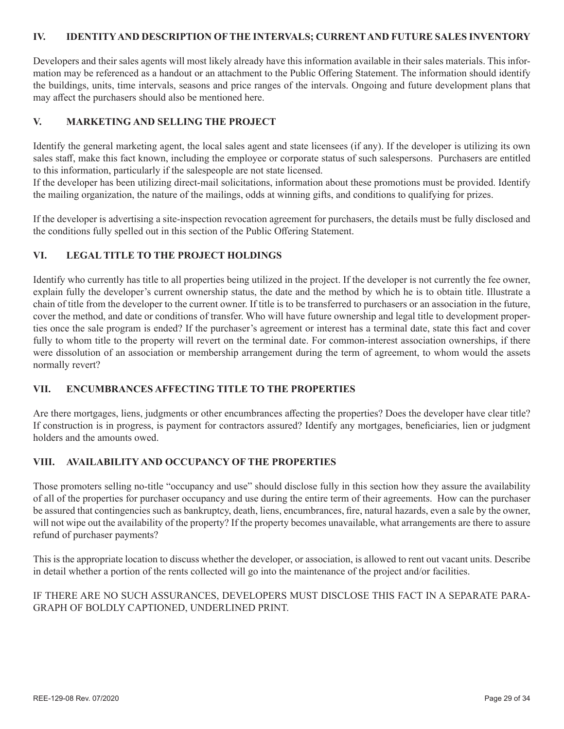#### **IV. IDENTITY AND DESCRIPTION OF THE INTERVALS; CURRENT AND FUTURE SALES INVENTORY**

Developers and their sales agents will most likely already have this information available in their sales materials. This information may be referenced as a handout or an attachment to the Public Offering Statement. The information should identify the buildings, units, time intervals, seasons and price ranges of the intervals. Ongoing and future development plans that may affect the purchasers should also be mentioned here.

#### **V. MARKETING AND SELLING THE PROJECT**

Identify the general marketing agent, the local sales agent and state licensees (if any). If the developer is utilizing its own sales staff, make this fact known, including the employee or corporate status of such salespersons. Purchasers are entitled to this information, particularly if the salespeople are not state licensed.

If the developer has been utilizing direct-mail solicitations, information about these promotions must be provided. Identify the mailing organization, the nature of the mailings, odds at winning gifts, and conditions to qualifying for prizes.

If the developer is advertising a site-inspection revocation agreement for purchasers, the details must be fully disclosed and the conditions fully spelled out in this section of the Public Offering Statement.

## **VI. LEGAL TITLE TO THE PROJECT HOLDINGS**

Identify who currently has title to all properties being utilized in the project. If the developer is not currently the fee owner, explain fully the developer's current ownership status, the date and the method by which he is to obtain title. Illustrate a chain of title from the developer to the current owner. If title is to be transferred to purchasers or an association in the future, cover the method, and date or conditions of transfer. Who will have future ownership and legal title to development properties once the sale program is ended? If the purchaser's agreement or interest has a terminal date, state this fact and cover fully to whom title to the property will revert on the terminal date. For common-interest association ownerships, if there were dissolution of an association or membership arrangement during the term of agreement, to whom would the assets normally revert?

#### **VII. ENCUMBRANCES AFFECTING TITLE TO THE PROPERTIES**

Are there mortgages, liens, judgments or other encumbrances affecting the properties? Does the developer have clear title? If construction is in progress, is payment for contractors assured? Identify any mortgages, beneficiaries, lien or judgment holders and the amounts owed.

#### **VIII. AVAILABILITY AND OCCUPANCY OF THE PROPERTIES**

Those promoters selling no-title "occupancy and use" should disclose fully in this section how they assure the availability of all of the properties for purchaser occupancy and use during the entire term of their agreements. How can the purchaser be assured that contingencies such as bankruptcy, death, liens, encumbrances, fire, natural hazards, even a sale by the owner, will not wipe out the availability of the property? If the property becomes unavailable, what arrangements are there to assure refund of purchaser payments?

This is the appropriate location to discuss whether the developer, or association, is allowed to rent out vacant units. Describe in detail whether a portion of the rents collected will go into the maintenance of the project and/or facilities.

IF THERE ARE NO SUCH ASSURANCES, DEVELOPERS MUST DISCLOSE THIS FACT IN A SEPARATE PARA-GRAPH OF BOLDLY CAPTIONED, UNDERLINED PRINT.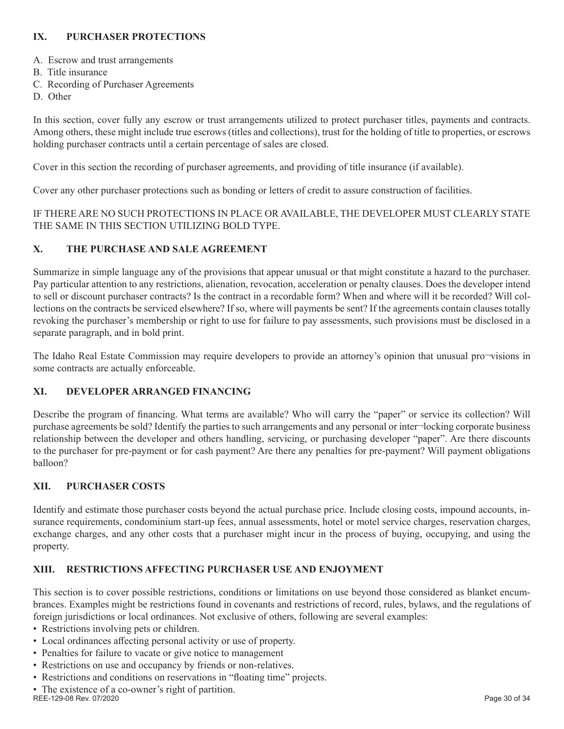## **IX. PURCHASER PROTECTIONS**

- A. Escrow and trust arrangements
- B. Title insurance
- C. Recording of Purchaser Agreements
- D. Other

In this section, cover fully any escrow or trust arrangements utilized to protect purchaser titles, payments and contracts. Among others, these might include true escrows (titles and collections), trust for the holding of title to properties, or escrows holding purchaser contracts until a certain percentage of sales are closed.

Cover in this section the recording of purchaser agreements, and providing of title insurance (if available).

Cover any other purchaser protections such as bonding or letters of credit to assure construction of facilities.

IF THERE ARE NO SUCH PROTECTIONS IN PLACE OR AVAILABLE, THE DEVELOPER MUST CLEARLY STATE THE SAME IN THIS SECTION UTILIZING BOLD TYPE.

## **X. THE PURCHASE AND SALE AGREEMENT**

Summarize in simple language any of the provisions that appear unusual or that might constitute a hazard to the purchaser. Pay particular attention to any restrictions, alienation, revocation, acceleration or penalty clauses. Does the developer intend to sell or discount purchaser contracts? Is the contract in a recordable form? When and where will it be recorded? Will collections on the contracts be serviced elsewhere? If so, where will payments be sent? If the agreements contain clauses totally revoking the purchaser's membership or right to use for failure to pay assessments, such provisions must be disclosed in a separate paragraph, and in bold print.

The Idaho Real Estate Commission may require developers to provide an attorney's opinion that unusual pro¬visions in some contracts are actually enforceable.

## **XI. DEVELOPER ARRANGED FINANCING**

Describe the program of financing. What terms are available? Who will carry the "paper" or service its collection? Will purchase agreements be sold? Identify the parties to such arrangements and any personal or inter¬locking corporate business relationship between the developer and others handling, servicing, or purchasing developer "paper". Are there discounts to the purchaser for pre-payment or for cash payment? Are there any penalties for pre-payment? Will payment obligations balloon?

## **XII. PURCHASER COSTS**

Identify and estimate those purchaser costs beyond the actual purchase price. Include closing costs, impound accounts, insurance requirements, condominium start-up fees, annual assessments, hotel or motel service charges, reservation charges, exchange charges, and any other costs that a purchaser might incur in the process of buying, occupying, and using the property.

#### **XIII. RESTRICTIONS AFFECTING PURCHASER USE AND ENJOYMENT**

This section is to cover possible restrictions, conditions or limitations on use beyond those considered as blanket encumbrances. Examples might be restrictions found in covenants and restrictions of record, rules, bylaws, and the regulations of foreign jurisdictions or local ordinances. Not exclusive of others, following are several examples:

- Restrictions involving pets or children.
- Local ordinances affecting personal activity or use of property.
- Penalties for failure to vacate or give notice to management
- Restrictions on use and occupancy by friends or non-relatives.
- Restrictions and conditions on reservations in "floating time" projects.
- The existence of a co-owner's right of partition. REE-129-08 Rev. 07/2020 **Page 30 of 34**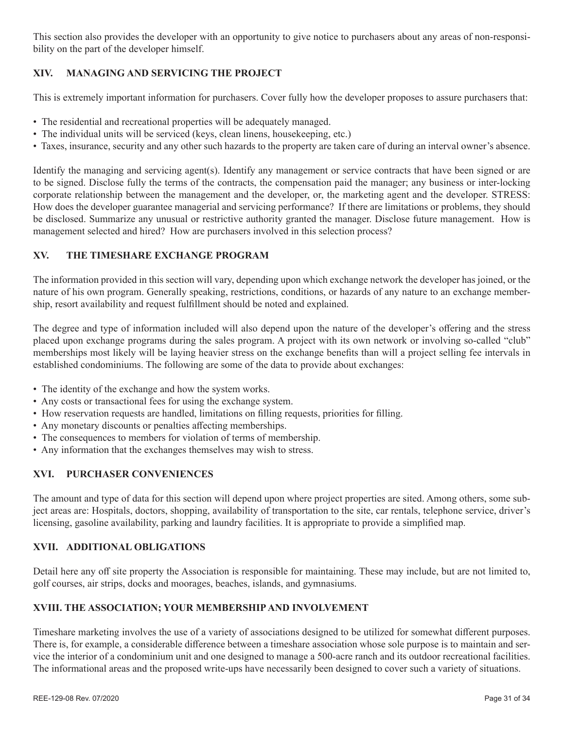This section also provides the developer with an opportunity to give notice to purchasers about any areas of non-responsibility on the part of the developer himself.

## **XIV. MANAGING AND SERVICING THE PROJECT**

This is extremely important information for purchasers. Cover fully how the developer proposes to assure purchasers that:

- The residential and recreational properties will be adequately managed.
- The individual units will be serviced (keys, clean linens, housekeeping, etc.)
- Taxes, insurance, security and any other such hazards to the property are taken care of during an interval owner's absence.

Identify the managing and servicing agent(s). Identify any management or service contracts that have been signed or are to be signed. Disclose fully the terms of the contracts, the compensation paid the manager; any business or inter-locking corporate relationship between the management and the developer, or, the marketing agent and the developer. STRESS: How does the developer guarantee managerial and servicing performance? If there are limitations or problems, they should be disclosed. Summarize any unusual or restrictive authority granted the manager. Disclose future management. How is management selected and hired? How are purchasers involved in this selection process?

## **XV. THE TIMESHARE EXCHANGE PROGRAM**

The information provided in this section will vary, depending upon which exchange network the developer has joined, or the nature of his own program. Generally speaking, restrictions, conditions, or hazards of any nature to an exchange membership, resort availability and request fulfillment should be noted and explained.

The degree and type of information included will also depend upon the nature of the developer's offering and the stress placed upon exchange programs during the sales program. A project with its own network or involving so-called "club" memberships most likely will be laying heavier stress on the exchange benefits than will a project selling fee intervals in established condominiums. The following are some of the data to provide about exchanges:

- The identity of the exchange and how the system works.
- Any costs or transactional fees for using the exchange system.
- How reservation requests are handled, limitations on filling requests, priorities for filling.
- Any monetary discounts or penalties affecting memberships.
- The consequences to members for violation of terms of membership.
- Any information that the exchanges themselves may wish to stress.

## **XVI. PURCHASER CONVENIENCES**

The amount and type of data for this section will depend upon where project properties are sited. Among others, some subject areas are: Hospitals, doctors, shopping, availability of transportation to the site, car rentals, telephone service, driver's licensing, gasoline availability, parking and laundry facilities. It is appropriate to provide a simplified map.

## **XVII. ADDITIONAL OBLIGATIONS**

Detail here any off site property the Association is responsible for maintaining. These may include, but are not limited to, golf courses, air strips, docks and moorages, beaches, islands, and gymnasiums.

## **XVIII. THE ASSOCIATION; YOUR MEMBERSHIP AND INVOLVEMENT**

Timeshare marketing involves the use of a variety of associations designed to be utilized for somewhat different purposes. There is, for example, a considerable difference between a timeshare association whose sole purpose is to maintain and service the interior of a condominium unit and one designed to manage a 500-acre ranch and its outdoor recreational facilities. The informational areas and the proposed write-ups have necessarily been designed to cover such a variety of situations.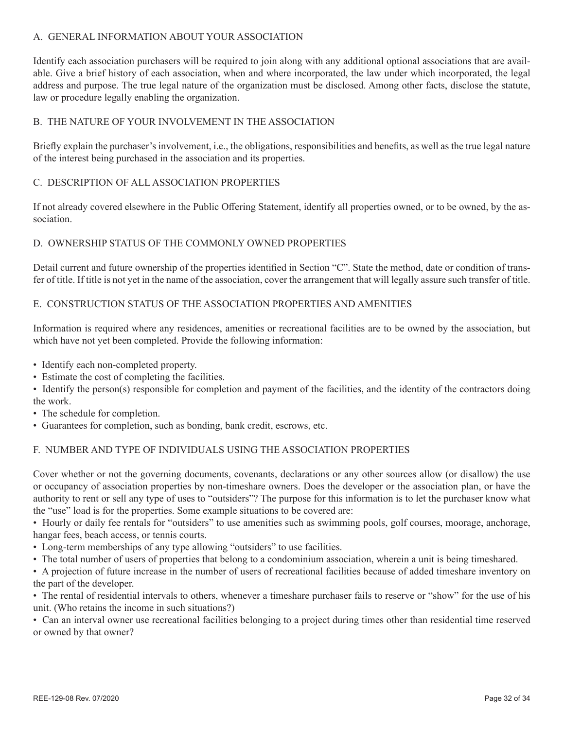#### A. GENERAL INFORMATION ABOUT YOUR ASSOCIATION

Identify each association purchasers will be required to join along with any additional optional associations that are available. Give a brief history of each association, when and where incorporated, the law under which incorporated, the legal address and purpose. The true legal nature of the organization must be disclosed. Among other facts, disclose the statute, law or procedure legally enabling the organization.

## B. THE NATURE OF YOUR INVOLVEMENT IN THE ASSOCIATION

Briefly explain the purchaser's involvement, i.e., the obligations, responsibilities and benefits, as well as the true legal nature of the interest being purchased in the association and its properties.

#### C. DESCRIPTION OF ALL ASSOCIATION PROPERTIES

If not already covered elsewhere in the Public Offering Statement, identify all properties owned, or to be owned, by the association.

## D. OWNERSHIP STATUS OF THE COMMONLY OWNED PROPERTIES

Detail current and future ownership of the properties identified in Section "C". State the method, date or condition of transfer of title. If title is not yet in the name of the association, cover the arrangement that will legally assure such transfer of title.

#### E. CONSTRUCTION STATUS OF THE ASSOCIATION PROPERTIES AND AMENITIES

Information is required where any residences, amenities or recreational facilities are to be owned by the association, but which have not yet been completed. Provide the following information:

- Identify each non-completed property.
- Estimate the cost of completing the facilities.

• Identify the person(s) responsible for completion and payment of the facilities, and the identity of the contractors doing the work.

- The schedule for completion.
- Guarantees for completion, such as bonding, bank credit, escrows, etc.

## F. NUMBER AND TYPE OF INDIVIDUALS USING THE ASSOCIATION PROPERTIES

Cover whether or not the governing documents, covenants, declarations or any other sources allow (or disallow) the use or occupancy of association properties by non-timeshare owners. Does the developer or the association plan, or have the authority to rent or sell any type of uses to "outsiders"? The purpose for this information is to let the purchaser know what the "use" load is for the properties. Some example situations to be covered are:

• Hourly or daily fee rentals for "outsiders" to use amenities such as swimming pools, golf courses, moorage, anchorage, hangar fees, beach access, or tennis courts.

- Long-term memberships of any type allowing "outsiders" to use facilities.
- The total number of users of properties that belong to a condominium association, wherein a unit is being timeshared.

• A projection of future increase in the number of users of recreational facilities because of added timeshare inventory on the part of the developer.

• The rental of residential intervals to others, whenever a timeshare purchaser fails to reserve or "show" for the use of his unit. (Who retains the income in such situations?)

• Can an interval owner use recreational facilities belonging to a project during times other than residential time reserved or owned by that owner?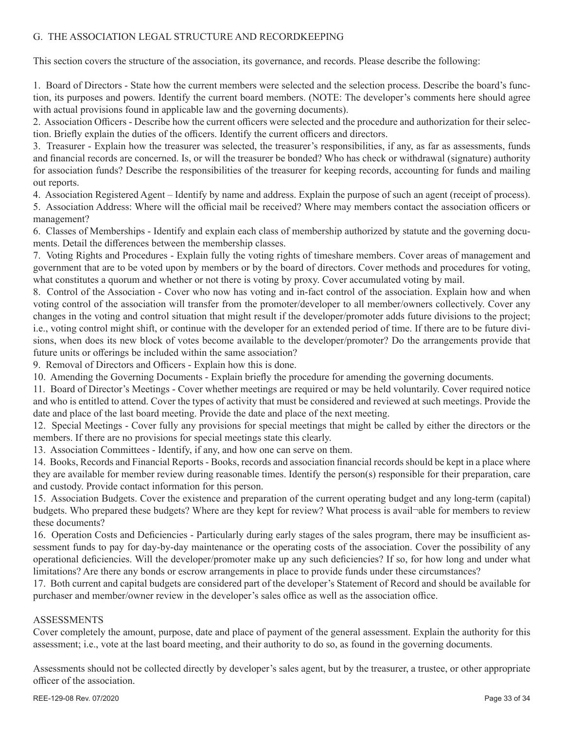#### G. THE ASSOCIATION LEGAL STRUCTURE AND RECORDKEEPING

This section covers the structure of the association, its governance, and records. Please describe the following:

1. Board of Directors - State how the current members were selected and the selection process. Describe the board's function, its purposes and powers. Identify the current board members. (NOTE: The developer's comments here should agree with actual provisions found in applicable law and the governing documents).

2. Association Officers - Describe how the current officers were selected and the procedure and authorization for their selection. Briefly explain the duties of the officers. Identify the current officers and directors.

3. Treasurer - Explain how the treasurer was selected, the treasurer's responsibilities, if any, as far as assessments, funds and financial records are concerned. Is, or will the treasurer be bonded? Who has check or withdrawal (signature) authority for association funds? Describe the responsibilities of the treasurer for keeping records, accounting for funds and mailing out reports.

4. Association Registered Agent – Identify by name and address. Explain the purpose of such an agent (receipt of process).

5. Association Address: Where will the official mail be received? Where may members contact the association officers or management?

6. Classes of Memberships - Identify and explain each class of membership authorized by statute and the governing documents. Detail the differences between the membership classes.

7. Voting Rights and Procedures - Explain fully the voting rights of timeshare members. Cover areas of management and government that are to be voted upon by members or by the board of directors. Cover methods and procedures for voting, what constitutes a quorum and whether or not there is voting by proxy. Cover accumulated voting by mail.

8. Control of the Association - Cover who now has voting and in-fact control of the association. Explain how and when voting control of the association will transfer from the promoter/developer to all member/owners collectively. Cover any changes in the voting and control situation that might result if the developer/promoter adds future divisions to the project; i.e., voting control might shift, or continue with the developer for an extended period of time. If there are to be future divisions, when does its new block of votes become available to the developer/promoter? Do the arrangements provide that future units or offerings be included within the same association?

9. Removal of Directors and Officers - Explain how this is done.

10. Amending the Governing Documents - Explain briefly the procedure for amending the governing documents.

11. Board of Director's Meetings - Cover whether meetings are required or may be held voluntarily. Cover required notice and who is entitled to attend. Cover the types of activity that must be considered and reviewed at such meetings. Provide the date and place of the last board meeting. Provide the date and place of the next meeting.

12. Special Meetings - Cover fully any provisions for special meetings that might be called by either the directors or the members. If there are no provisions for special meetings state this clearly.

13. Association Committees - Identify, if any, and how one can serve on them.

14. Books, Records and Financial Reports - Books, records and association financial records should be kept in a place where they are available for member review during reasonable times. Identify the person(s) responsible for their preparation, care and custody. Provide contact information for this person.

15. Association Budgets. Cover the existence and preparation of the current operating budget and any long-term (capital) budgets. Who prepared these budgets? Where are they kept for review? What process is avail¬able for members to review these documents?

16. Operation Costs and Deficiencies - Particularly during early stages of the sales program, there may be insufficient assessment funds to pay for day-by-day maintenance or the operating costs of the association. Cover the possibility of any operational deficiencies. Will the developer/promoter make up any such deficiencies? If so, for how long and under what limitations? Are there any bonds or escrow arrangements in place to provide funds under these circumstances?

17. Both current and capital budgets are considered part of the developer's Statement of Record and should be available for purchaser and member/owner review in the developer's sales office as well as the association office.

#### ASSESSMENTS

Cover completely the amount, purpose, date and place of payment of the general assessment. Explain the authority for this assessment; i.e., vote at the last board meeting, and their authority to do so, as found in the governing documents.

Assessments should not be collected directly by developer's sales agent, but by the treasurer, a trustee, or other appropriate officer of the association.